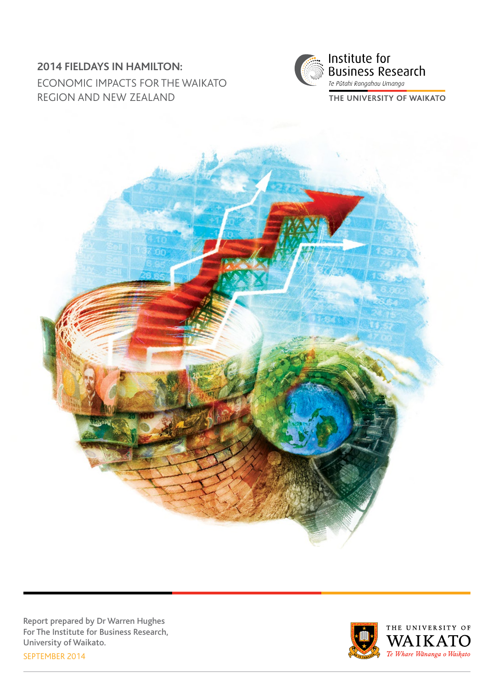# **2014 FIELDAYS IN HAMILTON:**  ECONOMIC IMPACTS FOR THE WAIKATO REGION AND NEW ZEALAND



Te Pūtahi Rangahau Umanga THE UNIVERSITY OF WAIKATO



Report prepared by Dr Warren Hughes For The Institute for Business Research, University of Waikato. SEPTEMBER 2014

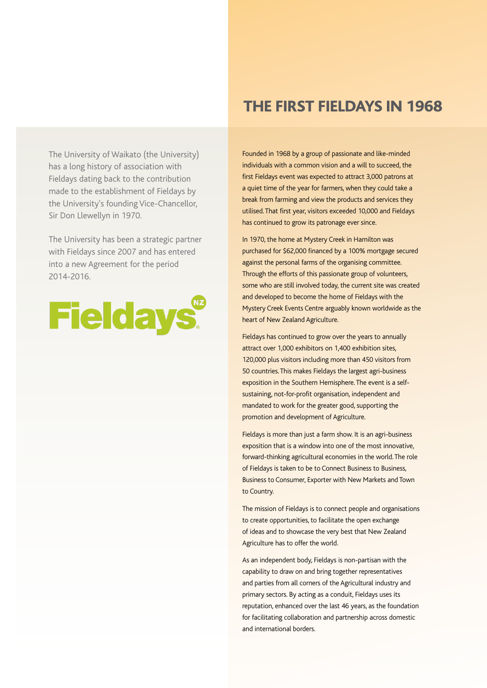The University of Waikato (the University) has a long history of association with Fieldays dating back to the contribution made to the establishment of Fieldays by the University's founding Vice-Chancellor, Sir Don Llewellyn in 1970.

The University has been a strategic partner with Fieldays since 2007 and has entered into a new Agreement for the period 2014-2016.



# THE FIRST FIELDAYS IN 1968

Founded in 1968 by a group of passionate and like-minded individuals with a common vision and a will to succeed, the first Fieldays event was expected to attract 3,000 patrons at a quiet time of the year for farmers, when they could take a break from farming and view the products and services they utilised. That first year, visitors exceeded 10,000 and Fieldays has continued to grow its patronage ever since.

In 1970, the home at Mystery Creek in Hamilton was purchased for \$62,000 financed by a 100% mortgage secured against the personal farms of the organising committee. Through the efforts of this passionate group of volunteers, some who are still involved today, the current site was created and developed to become the home of Fieldays with the Mystery Creek Events Centre arguably known worldwide as the heart of New Zealand Agriculture.

Fieldays has continued to grow over the years to annually attract over 1,000 exhibitors on 1,400 exhibition sites, 120,000 plus visitors including more than 450 visitors from 50 countries. This makes Fieldays the largest agri-business exposition in the Southern Hemisphere. The event is a selfsustaining, not-for-profit organisation, independent and mandated to work for the greater good, supporting the promotion and development of Agriculture.

Fieldays is more than just a farm show. It is an agri-business exposition that is a window into one of the most innovative, forward-thinking agricultural economies in the world. The role of Fieldays is taken to be to Connect Business to Business, Business to Consumer, Exporter with New Markets and Town to Country.

The mission of Fieldays is to connect people and organisations to create opportunities, to facilitate the open exchange of ideas and to showcase the very best that New Zealand Agriculture has to offer the world.

As an independent body, Fieldays is non-partisan with the capability to draw on and bring together representatives and parties from all corners of the Agricultural industry and primary sectors. By acting as a conduit, Fieldays uses its reputation, enhanced over the last 46 years, as the foundation for facilitating collaboration and partnership across domestic and international borders.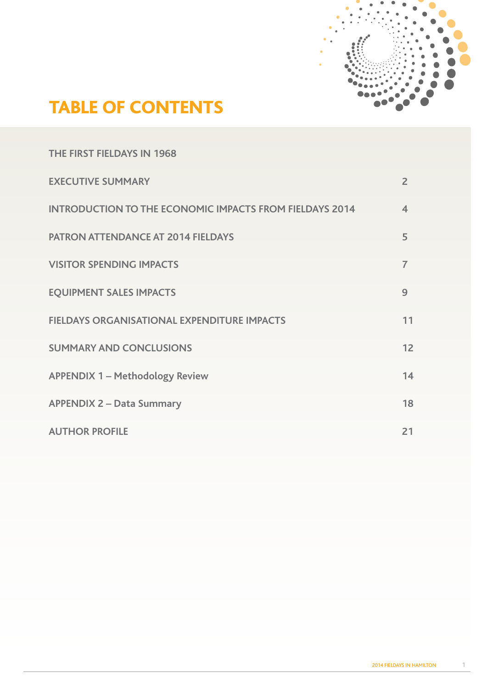

# TABLE OF CONTENTS

| THE FIRST FIELDAYS IN 1968                                     |                          |
|----------------------------------------------------------------|--------------------------|
| <b>EXECUTIVE SUMMARY</b>                                       | $\overline{2}$           |
| <b>INTRODUCTION TO THE ECONOMIC IMPACTS FROM FIELDAYS 2014</b> | $\overline{\mathcal{A}}$ |
| <b>PATRON ATTENDANCE AT 2014 FIELDAYS</b>                      | 5                        |
| <b>VISITOR SPENDING IMPACTS</b>                                | $\overline{7}$           |
| <b>EQUIPMENT SALES IMPACTS</b>                                 | 9                        |
| <b>FIELDAYS ORGANISATIONAL EXPENDITURE IMPACTS</b>             | 11                       |
| <b>SUMMARY AND CONCLUSIONS</b>                                 | 12                       |
| <b>APPENDIX 1 - Methodology Review</b>                         | 14                       |
| <b>APPENDIX 2 - Data Summary</b>                               | 18                       |
| <b>AUTHOR PROFILE</b>                                          | 21                       |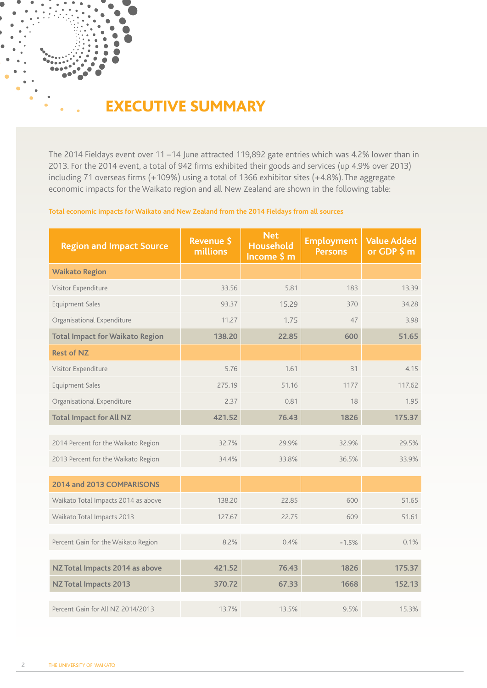# EXECUTIVE SUMMARY

The 2014 Fieldays event over 11 –14 June attracted 119,892 gate entries which was 4.2% lower than in 2013. For the 2014 event, a total of 942 firms exhibited their goods and services (up 4.9% over 2013) including 71 overseas firms (+109%) using a total of 1366 exhibitor sites (+4.8%). The aggregate economic impacts for the Waikato region and all New Zealand are shown in the following table:

# **Total economic impacts for Waikato and New Zealand from the 2014 Fieldays from all sources**

| <b>Region and Impact Source</b>        | <b>Revenue \$</b><br>millions | <b>Net</b><br><b>Household</b><br>Income \$ m | <b>Employment</b><br><b>Persons</b> | <b>Value Added</b><br>or GDP \$ m |
|----------------------------------------|-------------------------------|-----------------------------------------------|-------------------------------------|-----------------------------------|
| <b>Waikato Region</b>                  |                               |                                               |                                     |                                   |
| Visitor Expenditure                    | 33.56                         | 5.81                                          | 183                                 | 13.39                             |
| Equipment Sales                        | 93.37                         | 15.29                                         | 370                                 | 34.28                             |
| Organisational Expenditure             | 11.27                         | 1.75                                          | 47                                  | 3.98                              |
| <b>Total Impact for Waikato Region</b> | 138.20                        | 22.85                                         | 600                                 | 51.65                             |
| <b>Rest of NZ</b>                      |                               |                                               |                                     |                                   |
| Visitor Expenditure                    | 5.76                          | 1.61                                          | 31                                  | 4.15                              |
| Equipment Sales                        | 275.19                        | 51.16                                         | 1177                                | 117.62                            |
| Organisational Expenditure             | 2.37                          | 0.81                                          | 18                                  | 1.95                              |
| <b>Total Impact for All NZ</b>         | 421.52                        | 76.43                                         | 1826                                | 175.37                            |
|                                        |                               |                                               |                                     |                                   |
| 2014 Percent for the Waikato Region    | 32.7%                         | 29.9%                                         | 32.9%                               | 29.5%                             |
| 2013 Percent for the Waikato Region    | 34.4%                         | 33.8%                                         | 36.5%                               | 33.9%                             |
| 2014 and 2013 COMPARISONS              |                               |                                               |                                     |                                   |
| Waikato Total Impacts 2014 as above    | 138.20                        | 22.85                                         | 600                                 | 51.65                             |
| Waikato Total Impacts 2013             | 127.67                        | 22.75                                         | 609                                 | 51.61                             |
|                                        |                               |                                               |                                     |                                   |
| Percent Gain for the Waikato Region    | 8.2%                          | 0.4%                                          | $-1.5%$                             | 0.1%                              |
| NZ Total Impacts 2014 as above         | 421.52                        | 76.43                                         | 1826                                | 175.37                            |
|                                        |                               |                                               |                                     |                                   |
| <b>NZ Total Impacts 2013</b>           | 370.72                        | 67.33                                         | 1668                                | 152.13                            |
| Percent Gain for All NZ 2014/2013      | 13.7%                         | 13.5%                                         | 9.5%                                | 15.3%                             |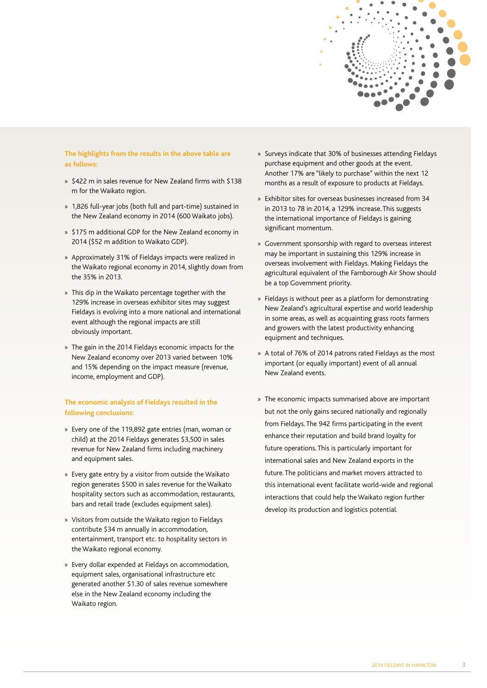

## **The highlights from the results in the above table are as follows:**

- » \$422 m in sales revenue for New Zealand firms with \$138 m for the Waikato region.
- » 1,826 full-year jobs (both full and part-time) sustained in the New Zealand economy in 2014 (600 Waikato jobs).
- » \$175 m additional GDP for the New Zealand economy in 2014 (\$52 m addition to Waikato GDP).
- » Approximately 31% of Fieldays impacts were realized in the Waikato regional economy in 2014, slightly down from the 35% in 2013.
- » This dip in the Waikato percentage together with the 129% increase in overseas exhibitor sites may suggest Fieldays is evolving into a more national and international event although the regional impacts are still obviously important.
- » The gain in the 2014 Fieldays economic impacts for the New Zealand economy over 2013 varied between 10% and 15% depending on the impact measure (revenue, income, employment and GDP).

## **The economic analysis of Fieldays resulted in the following conclusions:**

- » Every one of the 119,892 gate entries (man, woman or child) at the 2014 Fieldays generates \$3,500 in sales revenue for New Zealand firms including machinery and equipment sales.
- » Every gate entry by a visitor from outside the Waikato region generates \$500 in sales revenue for the Waikato hospitality sectors such as accommodation, restaurants, bars and retail trade (excludes equipment sales).
- » Visitors from outside the Waikato region to Fieldays contribute \$34 m annually in accommodation, entertainment, transport etc. to hospitality sectors in the Waikato regional economy.
- » Every dollar expended at Fieldays on accommodation, equipment sales, organisational infrastructure etc generated another \$1.30 of sales revenue somewhere else in the New Zealand economy including the Waikato region.
- » Surveys indicate that 30% of businesses attending Fieldays purchase equipment and other goods at the event. Another 17% are "likely to purchase" within the next 12 months as a result of exposure to products at Fieldays.
- » Exhibitor sites for overseas businesses increased from 34 in 2013 to 78 in 2014, a 129% increase. This suggests the international importance of Fieldays is gaining significant momentum.
- » Government sponsorship with regard to overseas interest may be important in sustaining this 129% increase in overseas involvement with Fieldays. Making Fieldays the agricultural equivalent of the Farnborough Air Show should be a top Government priority.
- » Fieldays is without peer as a platform for demonstrating New Zealand's agricultural expertise and world leadership in some areas, as well as acquainting grass roots farmers and growers with the latest productivity enhancing equipment and techniques.
- » A total of 76% of 2014 patrons rated Fieldays as the most important (or equally important) event of all annual New Zealand events.
- » The economic impacts summarised above are important but not the only gains secured nationally and regionally from Fieldays. The 942 firms participating in the event enhance their reputation and build brand loyalty for future operations. This is particularly important for international sales and New Zealand exports in the future. The politicians and market movers attracted to this international event facilitate world-wide and regional interactions that could help the Waikato region further develop its production and logistics potential.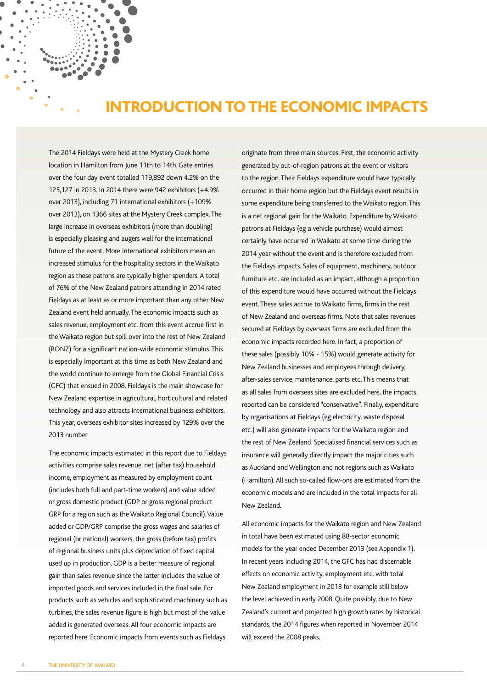# INTRODUCTION TO THE ECONOMIC IMPACTS

The 2014 Fieldays were held at the Mystery Creek home location in Hamilton from June 11th to 14th. Gate entries over the four day event totalled 119,892 down 4.2% on the 125,127 in 2013. In 2014 there were 942 exhibitors (+4.9% over 2013), including 71 international exhibitors (+109% over 2013), on 1366 sites at the Mystery Creek complex. The large increase in overseas exhibitors (more than doubling) is especially pleasing and augers well for the international future of the event. More international exhibitors mean an increased stimulus for the hospitality sectors in the Waikato region as these patrons are typically higher spenders. A total of 76% of the New Zealand patrons attending in 2014 rated Fieldays as at least as or more important than any other New Zealand event held annually. The economic impacts such as sales revenue, employment etc. from this event accrue first in the Waikato region but spill over into the rest of New Zealand (RONZ) for a significant nation-wide economic stimulus. This is especially important at this time as both New Zealand and the world continue to emerge from the Global Financial Crisis (GFC) that ensued in 2008. Fieldays is the main showcase for New Zealand expertise in agricultural, horticultural and related technology and also attracts international business exhibitors. This year, overseas exhibitor sites increased by 129% over the 2013 number.

The economic impacts estimated in this report due to Fieldays activities comprise sales revenue, net (after tax) household income, employment as measured by employment count (includes both full and part-time workers) and value added or gross domestic product (GDP or gross regional product GRP for a region such as the Waikato Regional Council). Value added or GDP/GRP comprise the gross wages and salaries of regional (or national) workers, the gross (before tax) profits of regional business units plus depreciation of fixed capital used up in production. GDP is a better measure of regional gain than sales revenue since the latter includes the value of imported goods and services included in the final sale. For products such as vehicles and sophisticated machinery such as turbines, the sales revenue figure is high but most of the value added is generated overseas. All four economic impacts are reported here. Economic impacts from events such as Fieldays

originate from three main sources. First, the economic activity generated by out-of-region patrons at the event or visitors to the region. Their Fieldays expenditure would have typically occurred in their home region but the Fieldays event results in some expenditure being transferred to the Waikato region. This is a net regional gain for the Waikato. Expenditure by Waikato patrons at Fieldays (eg a vehicle purchase) would almost certainly have occurred in Waikato at some time during the 2014 year without the event and is therefore excluded from the Fieldays impacts. Sales of equipment, machinery, outdoor furniture etc. are included as an impact, although a proportion of this expenditure would have occurred without the Fieldays event. These sales accrue to Waikato firms, firms in the rest of New Zealand and overseas firms. Note that sales revenues secured at Fieldays by overseas firms are excluded from the economic impacts recorded here. In fact, a proportion of these sales (possibly 10% - 15%) would generate activity for New Zealand businesses and employees through delivery, after-sales service, maintenance, parts etc. This means that as all sales from overseas sites are excluded here, the impacts reported can be considered "conservative". Finally, expenditure by organisations at Fieldays (eg electricity, waste disposal etc.) will also generate impacts for the Waikato region and the rest of New Zealand. Specialised financial services such as insurance will generally directly impact the major cities such as Auckland and Wellington and not regions such as Waikato (Hamilton). All such so-called flow-ons are estimated from the economic models and are included in the total impacts for all New Zealand.

All economic impacts for the Waikato region and New Zealand in total have been estimated using 88-sector economic models for the year ended December 2013 (see Appendix 1). In recent years including 2014, the GFC has had discernable effects on economic activity, employment etc. with total New Zealand employment in 2013 for example still below the level achieved in early 2008. Quite possibly, due to New Zealand's current and projected high growth rates by historical standards, the 2014 figures when reported in November 2014 will exceed the 2008 peaks.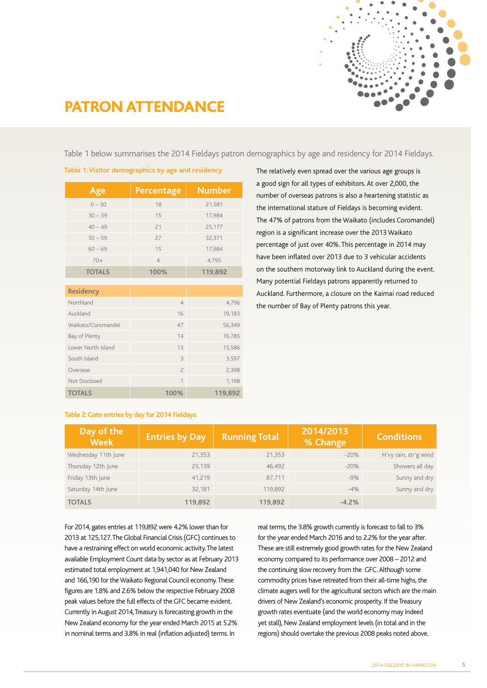

# PATRON ATTENDANCE

Table 1 below summarises the 2014 Fieldays patron demographics by age and residency for 2014 Fieldays.

| Age                | Percentage              | <b>Number</b> |
|--------------------|-------------------------|---------------|
| $0 - 30$           | 18                      | 21,581        |
| $30 - 39$          | 15                      | 17,984        |
| $40 - 49$          | 21                      | 25,177        |
| $50 - 59$          | 27                      | 32,371        |
| $60 - 69$          | 15                      | 17,984        |
| $70+$              | $\overline{4}$          | 4,795         |
| <b>TOTALS</b>      | 100%                    | 119,892       |
|                    |                         |               |
| <b>Residency</b>   |                         |               |
| Northland          | $\overline{4}$          | 4,796         |
| Auckland           | 16                      | 19,183        |
| Waikato/Coromandel | 47                      | 56,349        |
| Bay of Plenty      | 14                      | 16,785        |
| Lower North Island | 13                      | 15,586        |
| South Island       | $\overline{\mathbf{3}}$ | 3,597         |
| Overseas           | $\overline{c}$          | 2,398         |
| Not Disclosed      | $\overline{1}$          | 1,198         |
| <b>TOTALS</b>      | 100%                    | 119,892       |

**Table 1: Visitor demographics by age and residency** The relatively even spread over the various age groups is a good sign for all types of exhibitors. At over 2,000, the number of overseas patrons is also a heartening statistic as the international stature of Fieldays is becoming evident. The 47% of patrons from the Waikato (includes Coromandel) region is a significant increase over the 2013 Waikato percentage of just over 40%. This percentage in 2014 may have been inflated over 2013 due to 3 vehicular accidents on the southern motorway link to Auckland during the event. Many potential Fieldays patrons apparently returned to Auckland. Furthermore, a closure on the Kaimai road reduced the number of Bay of Plenty patrons this year.

## **Table 2: Gate entries by day for 2014 Fieldays**

| Day of the<br><b>Week</b> | <b>Entries by Day</b> | <b>Running Total</b> | 2014/2013<br>% Change | <b>Conditions</b>     |
|---------------------------|-----------------------|----------------------|-----------------------|-----------------------|
| Wednesday 11th June       | 21,353                | 21,353               | $-20%$                | H'vy rain, str'g wind |
| Thursday 12th June        | 25,139                | 46,492               | $-20%$                | Showers all day       |
| Friday 13th June          | 41.219                | 87,711               | $-9%$                 | Sunny and dry         |
| Saturday 14th June        | 32,181                | 119,892              | $-4%$                 | Sunny and dry         |
| <b>TOTALS</b>             | 119,892               | 119,892              | $-4.2%$               |                       |

For 2014, gates entries at 119,892 were 4.2% lower than for 2013 at 125,127. The Global Financial Crisis (GFC) continues to have a restraining effect on world economic activity. The latest available Employment Count data by sector as at February 2013 estimated total employment at 1,941,040 for New Zealand and 166,190 for the Waikato Regional Council economy. These figures are 1.8% and 2.6% below the respective February 2008 peak values before the full effects of the GFC became evident. Currently in August 2014, Treasury is forecasting growth in the New Zealand economy for the year ended March 2015 at 5.2% in nominal terms and 3.8% in real (inflation adjusted) terms. In

real terms, the 3.8% growth currently is forecast to fall to 3% for the year ended March 2016 and to 2.2% for the year after. These are still extremely good growth rates for the New Zealand economy compared to its performance over 2008 – 2012 and the continuing slow recovery from the GFC. Although some commodity prices have retreated from their all-time highs, the climate augers well for the agricultural sectors which are the main drivers of New Zealand's economic prosperity. If the Treasury growth rates eventuate (and the world economy may indeed yet stall), New Zealand employment levels (in total and in the regions) should overtake the previous 2008 peaks noted above.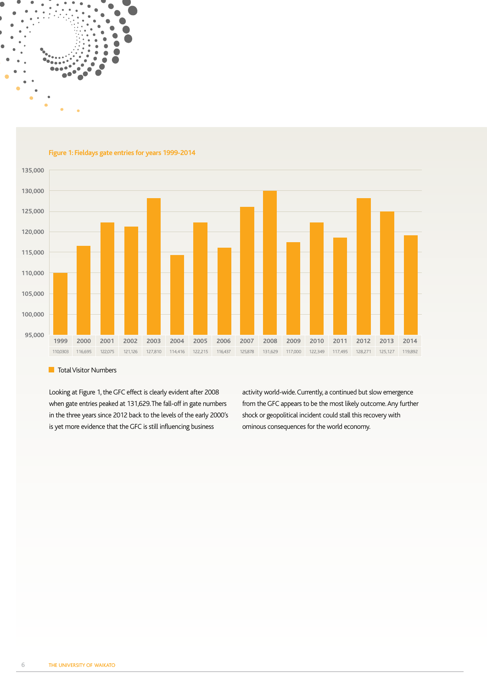

**Figure 1: Fieldays gate entries for years 1999-2014**



#### **T** Total Visitor Numbers

Looking at Figure 1, the GFC effect is clearly evident after 2008 when gate entries peaked at 131,629. The fall-off in gate numbers in the three years since 2012 back to the levels of the early 2000's is yet more evidence that the GFC is still influencing business

activity world-wide. Currently, a continued but slow emergence from the GFC appears to be the most likely outcome. Any further shock or geopolitical incident could stall this recovery with ominous consequences for the world economy.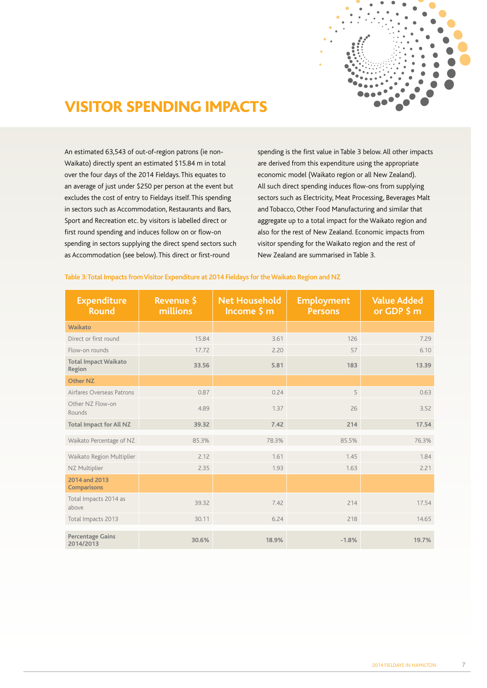

# VISITOR SPENDING IMPACTS

An estimated 63,543 of out-of-region patrons (ie non-Waikato) directly spent an estimated \$15.84 m in total over the four days of the 2014 Fieldays. This equates to an average of just under \$250 per person at the event but excludes the cost of entry to Fieldays itself. This spending in sectors such as Accommodation, Restaurants and Bars, Sport and Recreation etc. by visitors is labelled direct or first round spending and induces follow on or flow-on spending in sectors supplying the direct spend sectors such as Accommodation (see below). This direct or first-round

spending is the first value in Table 3 below. All other impacts are derived from this expenditure using the appropriate economic model (Waikato region or all New Zealand). All such direct spending induces flow-ons from supplying sectors such as Electricity, Meat Processing, Beverages Malt and Tobacco, Other Food Manufacturing and similar that aggregate up to a total impact for the Waikato region and also for the rest of New Zealand. Economic impacts from visitor spending for the Waikato region and the rest of New Zealand are summarised in Table 3.

### **Table 3: Total Impacts from Visitor Expenditure at 2014 Fieldays for the Waikato Region and NZ**

| <b>Expenditure</b><br><b>Round</b>    | <b>Revenue \$</b><br>millions | <b>Net Household</b><br>Income \$ m | <b>Employment</b><br><b>Persons</b> | <b>Value Added</b><br>or GDP $$m$ |
|---------------------------------------|-------------------------------|-------------------------------------|-------------------------------------|-----------------------------------|
| Waikato                               |                               |                                     |                                     |                                   |
| Direct or first round                 | 15.84                         | 3.61                                | 126                                 | 7.29                              |
| Flow-on rounds                        | 17.72                         | 2.20                                | 57                                  | 6.10                              |
| <b>Total Impact Waikato</b><br>Region | 33.56                         | 5.81                                | 183                                 | 13.39                             |
| Other NZ                              |                               |                                     |                                     |                                   |
| Airfares Overseas Patrons             | 0.87                          | 0.24                                | 5                                   | 0.63                              |
| Other NZ Flow-on<br>Rounds            | 4.89                          | 1.37                                | 26                                  | 3.52                              |
| <b>Total Impact for All NZ</b>        | 39.32                         | 7.42                                | 214                                 | 17.54                             |
| Waikato Percentage of NZ              | 85.3%                         | 78.3%                               | 85.5%                               | 76.3%                             |
| Waikato Region Multiplier             | 2.12                          | 1.61                                | 1.45                                | 1.84                              |
| NZ Multiplier                         | 2.35                          | 1.93                                | 1.63                                | 2.21                              |
| 2014 and 2013<br><b>Comparisons</b>   |                               |                                     |                                     |                                   |
| Total Impacts 2014 as<br>above        | 39.32                         | 7.42                                | 214                                 | 17.54                             |
| Total Impacts 2013                    | 30.11                         | 6.24                                | 218                                 | 14.65                             |
| <b>Percentage Gains</b>               |                               |                                     |                                     |                                   |
| 2014/2013                             | 30.6%                         | 18.9%                               | $-1.8%$                             | 19.7%                             |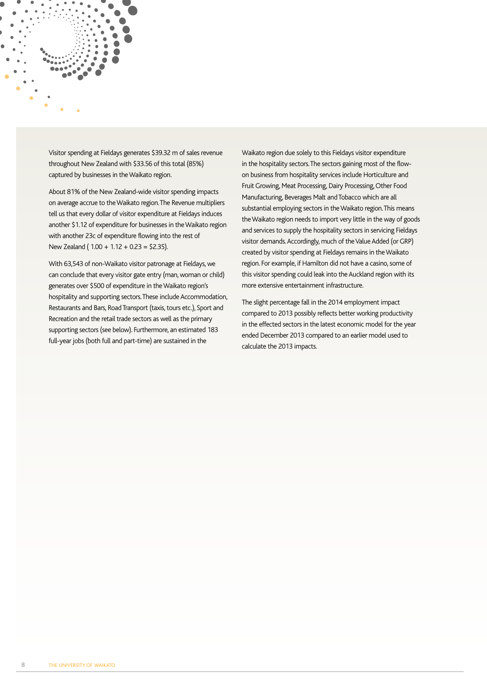

Visitor spending at Fieldays generates \$39.32 m of sales revenue throughout New Zealand with \$33.56 of this total (85%) captured by businesses in the Waikato region.

About 81% of the New Zealand-wide visitor spending impacts on average accrue to the Waikato region. The Revenue multipliers tell us that every dollar of visitor expenditure at Fieldays induces another \$1.12 of expenditure for businesses in the Waikato region with another 23c of expenditure flowing into the rest of New Zealand ( 1.00 + 1.12 + 0.23 = \$2.35).

With 63,543 of non-Waikato visitor patronage at Fieldays, we can conclude that every visitor gate entry (man, woman or child) generates over \$500 of expenditure in the Waikato region's hospitality and supporting sectors. These include Accommodation, Restaurants and Bars, Road Transport (taxis, tours etc.), Sport and Recreation and the retail trade sectors as well as the primary supporting sectors (see below). Furthermore, an estimated 183 full-year jobs (both full and part-time) are sustained in the

Waikato region due solely to this Fieldays visitor expenditure in the hospitality sectors. The sectors gaining most of the flowon business from hospitality services include Horticulture and Fruit Growing, Meat Processing, Dairy Processing, Other Food Manufacturing, Beverages Malt and Tobacco which are all substantial employing sectors in the Waikato region. This means the Waikato region needs to import very little in the way of goods and services to supply the hospitality sectors in servicing Fieldays visitor demands. Accordingly, much of the Value Added (or GRP) created by visitor spending at Fieldays remains in the Waikato region. For example, if Hamilton did not have a casino, some of this visitor spending could leak into the Auckland region with its more extensive entertainment infrastructure.

The slight percentage fall in the 2014 employment impact compared to 2013 possibly reflects better working productivity in the effected sectors in the latest economic model for the year ended December 2013 compared to an earlier model used to calculate the 2013 impacts.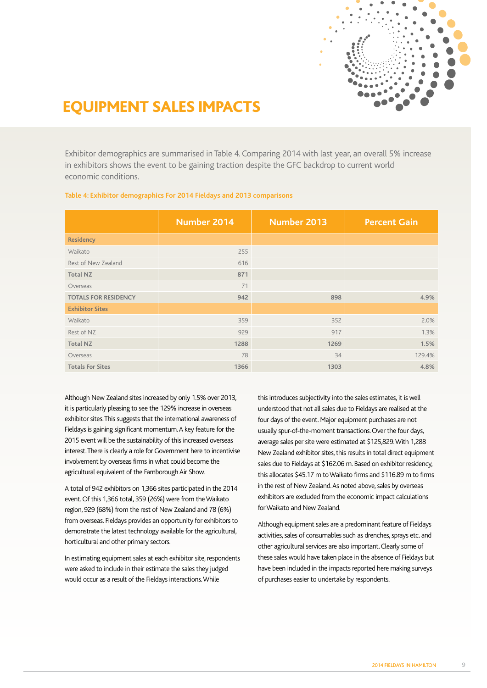

# EQUIPMENT SALES IMPACTS

Exhibitor demographics are summarised in Table 4. Comparing 2014 with last year, an overall 5% increase in exhibitors shows the event to be gaining traction despite the GFC backdrop to current world economic conditions.

|  | Table 4: Exhibitor demographics For 2014 Fieldays and 2013 comparisons |  |
|--|------------------------------------------------------------------------|--|
|  |                                                                        |  |

|                             | Number 2014 | <b>Number 2013</b> | <b>Percent Gain</b> |
|-----------------------------|-------------|--------------------|---------------------|
| <b>Residency</b>            |             |                    |                     |
| Waikato                     | 255         |                    |                     |
| Rest of New Zealand         | 616         |                    |                     |
| <b>Total NZ</b>             | 871         |                    |                     |
| Overseas                    | 71          |                    |                     |
| <b>TOTALS FOR RESIDENCY</b> | 942         | 898                | 4.9%                |
| <b>Exhibitor Sites</b>      |             |                    |                     |
| Waikato                     | 359         | 352                | 2.0%                |
| Rest of NZ                  | 929         | 917                | 1.3%                |
| <b>Total NZ</b>             | 1288        | 1269               | 1.5%                |
| Overseas                    | 78          | 34                 | 129.4%              |
| <b>Totals For Sites</b>     | 1366        | 1303               | 4.8%                |

Although New Zealand sites increased by only 1.5% over 2013, it is particularly pleasing to see the 129% increase in overseas exhibitor sites. This suggests that the international awareness of Fieldays is gaining significant momentum. A key feature for the 2015 event will be the sustainability of this increased overseas interest. There is clearly a role for Government here to incentivise involvement by overseas firms in what could become the agricultural equivalent of the Farnborough Air Show.

A total of 942 exhibitors on 1,366 sites participated in the 2014 event. Of this 1,366 total, 359 (26%) were from the Waikato region, 929 (68%) from the rest of New Zealand and 78 (6%) from overseas. Fieldays provides an opportunity for exhibitors to demonstrate the latest technology available for the agricultural, horticultural and other primary sectors.

In estimating equipment sales at each exhibitor site, respondents were asked to include in their estimate the sales they judged would occur as a result of the Fieldays interactions. While

this introduces subjectivity into the sales estimates, it is well understood that not all sales due to Fieldays are realised at the four days of the event. Major equipment purchases are not usually spur-of-the-moment transactions. Over the four days, average sales per site were estimated at \$125,829. With 1,288 New Zealand exhibitor sites, this results in total direct equipment sales due to Fieldays at \$162.06 m. Based on exhibitor residency, this allocates \$45.17 m to Waikato firms and \$116.89 m to firms in the rest of New Zealand. As noted above, sales by overseas exhibitors are excluded from the economic impact calculations for Waikato and New Zealand.

Although equipment sales are a predominant feature of Fieldays activities, sales of consumables such as drenches, sprays etc. and other agricultural services are also important. Clearly some of these sales would have taken place in the absence of Fieldays but have been included in the impacts reported here making surveys of purchases easier to undertake by respondents.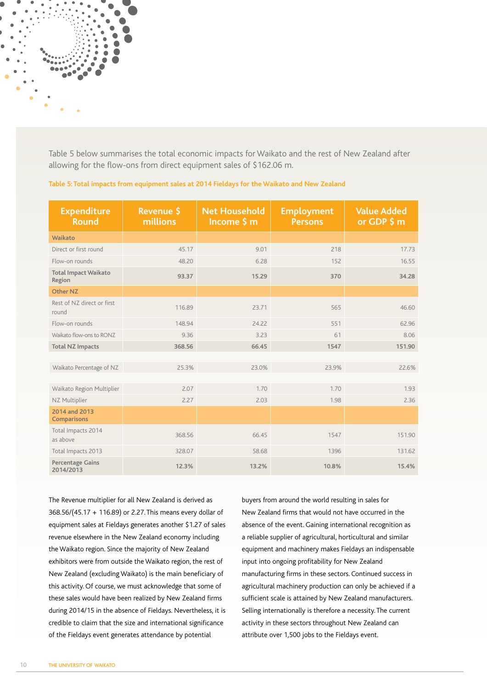Table 5 below summarises the total economic impacts for Waikato and the rest of New Zealand after allowing for the flow-ons from direct equipment sales of \$162.06 m.

| <b>Expenditure</b><br><b>Round</b>    | Revenue \$<br>millions | <b>Net Household</b><br>Income \$ m | <b>Employment</b><br><b>Persons</b> | <b>Value Added</b><br>or GDP $$m$ |
|---------------------------------------|------------------------|-------------------------------------|-------------------------------------|-----------------------------------|
| Waikato                               |                        |                                     |                                     |                                   |
| Direct or first round                 | 45.17                  | 9.01                                | 218                                 | 17.73                             |
| Flow-on rounds                        | 48.20                  | 6.28                                | 152                                 | 16.55                             |
| <b>Total Impact Waikato</b><br>Region | 93.37                  | 15.29                               | 370                                 | 34.28                             |
| <b>Other NZ</b>                       |                        |                                     |                                     |                                   |
| Rest of NZ direct or first<br>round   | 116.89                 | 23.71                               | 565                                 | 46.60                             |
| Flow-on rounds                        | 148.94                 | 24.22                               | 551                                 | 62.96                             |
| Waikato flow-ons to RONZ              | 9.36                   | 3.23                                | 61                                  | 8.06                              |
| <b>Total NZ Impacts</b>               | 368.56                 | 66.45                               | 1547                                | 151.90                            |
|                                       |                        |                                     |                                     |                                   |
| Waikato Percentage of NZ              | 25.3%                  | 23.0%                               | 23.9%                               | 22.6%                             |
|                                       |                        |                                     |                                     |                                   |
| Waikato Region Multiplier             | 2.07                   | 1.70                                | 1.70                                | 1.93                              |
| NZ Multiplier                         | 2.27                   | 2.03                                | 1.98                                | 2.36                              |
| 2014 and 2013<br><b>Comparisons</b>   |                        |                                     |                                     |                                   |
| Total Impacts 2014<br>as above        | 368.56                 | 66.45                               | 1547                                | 151.90                            |
| Total Impacts 2013                    | 328.07                 | 58.68                               | 1396                                | 131.62                            |
| <b>Percentage Gains</b><br>2014/2013  | 12.3%                  | 13.2%                               | 10.8%                               | 15.4%                             |

### **Table 5: Total impacts from equipment sales at 2014 Fieldays for the Waikato and New Zealand**

The Revenue multiplier for all New Zealand is derived as 368.56/(45.17 + 116.89) or 2.27. This means every dollar of equipment sales at Fieldays generates another \$1.27 of sales revenue elsewhere in the New Zealand economy including the Waikato region. Since the majority of New Zealand exhibitors were from outside the Waikato region, the rest of New Zealand (excluding Waikato) is the main beneficiary of this activity. Of course, we must acknowledge that some of these sales would have been realized by New Zealand firms during 2014/15 in the absence of Fieldays. Nevertheless, it is credible to claim that the size and international significance of the Fieldays event generates attendance by potential

buyers from around the world resulting in sales for New Zealand firms that would not have occurred in the absence of the event. Gaining international recognition as a reliable supplier of agricultural, horticultural and similar equipment and machinery makes Fieldays an indispensable input into ongoing profitability for New Zealand manufacturing firms in these sectors. Continued success in agricultural machinery production can only be achieved if a sufficient scale is attained by New Zealand manufacturers. Selling internationally is therefore a necessity. The current activity in these sectors throughout New Zealand can attribute over 1,500 jobs to the Fieldays event.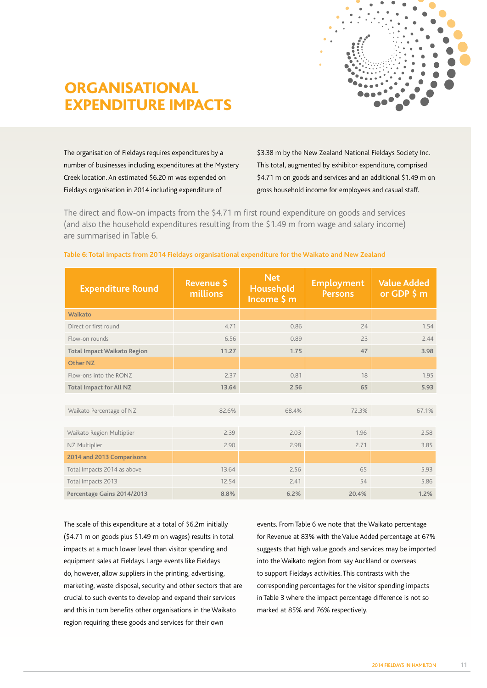

# ORGANISATIONAL EXPENDITURE IMPACTS

The organisation of Fieldays requires expenditures by a number of businesses including expenditures at the Mystery Creek location. An estimated \$6.20 m was expended on Fieldays organisation in 2014 including expenditure of

\$3.38 m by the New Zealand National Fieldays Society Inc. This total, augmented by exhibitor expenditure, comprised \$4.71 m on goods and services and an additional \$1.49 m on gross household income for employees and casual staff.

The direct and flow-on impacts from the \$4.71 m first round expenditure on goods and services (and also the household expenditures resulting from the \$1.49 m from wage and salary income) are summarised in Table 6.

| <b>Expenditure Round</b>           | <b>Revenue \$</b><br>millions | <b>Net</b><br>Household<br>Income \$ m | <b>Employment</b><br><b>Persons</b> | <b>Value Added</b><br>or GDP $$m$ |
|------------------------------------|-------------------------------|----------------------------------------|-------------------------------------|-----------------------------------|
| Waikato                            |                               |                                        |                                     |                                   |
| Direct or first round              | 4.71                          | 0.86                                   | 24                                  | 1.54                              |
| Flow-on rounds                     | 6.56                          | 0.89                                   | 23                                  | 2.44                              |
| <b>Total Impact Waikato Region</b> | 11.27                         | 1.75                                   | 47                                  | 3.98                              |
| <b>Other NZ</b>                    |                               |                                        |                                     |                                   |
| Flow-ons into the RONZ             | 2.37                          | 0.81                                   | 18                                  | 1.95                              |
| <b>Total Impact for All NZ</b>     | 13.64                         | 2.56                                   | 65                                  | 5.93                              |
|                                    |                               |                                        |                                     |                                   |
| Waikato Percentage of NZ           | 82.6%                         | 68.4%                                  | 72.3%                               | 67.1%                             |
|                                    |                               |                                        |                                     |                                   |
| Waikato Region Multiplier          | 2.39                          | 2.03                                   | 1.96                                | 2.58                              |
| NZ Multiplier                      | 2.90                          | 2.98                                   | 2.71                                | 3.85                              |
| 2014 and 2013 Comparisons          |                               |                                        |                                     |                                   |
| Total Impacts 2014 as above        | 13.64                         | 2.56                                   | 65                                  | 5.93                              |
| Total Impacts 2013                 | 12.54                         | 2.41                                   | 54                                  | 5.86                              |
| Percentage Gains 2014/2013         | 8.8%                          | 6.2%                                   | 20.4%                               | 1.2%                              |

### **Table 6: Total impacts from 2014 Fieldays organisational expenditure for the Waikato and New Zealand**

The scale of this expenditure at a total of \$6.2m initially (\$4.71 m on goods plus \$1.49 m on wages) results in total impacts at a much lower level than visitor spending and equipment sales at Fieldays. Large events like Fieldays do, however, allow suppliers in the printing, advertising, marketing, waste disposal, security and other sectors that are crucial to such events to develop and expand their services and this in turn benefits other organisations in the Waikato region requiring these goods and services for their own

events. From Table 6 we note that the Waikato percentage for Revenue at 83% with the Value Added percentage at 67% suggests that high value goods and services may be imported into the Waikato region from say Auckland or overseas to support Fieldays activities. This contrasts with the corresponding percentages for the visitor spending impacts in Table 3 where the impact percentage difference is not so marked at 85% and 76% respectively.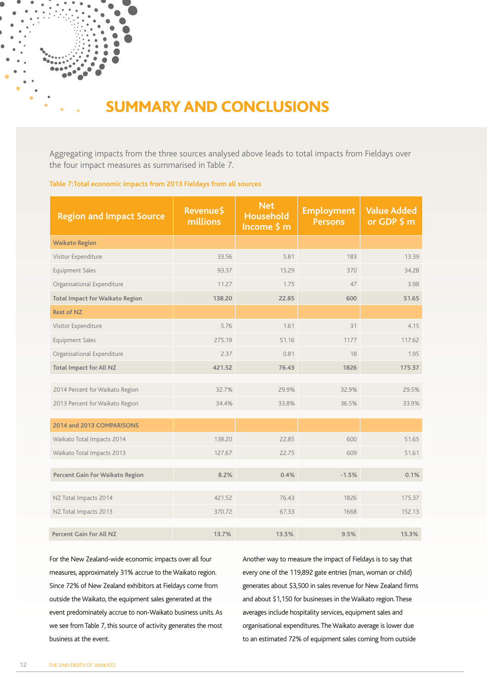# SUMMARY AND CONCLUSIONS

Aggregating impacts from the three sources analysed above leads to total impacts from Fieldays over the four impact measures as summarised in Table 7.

### **Table 7:Total economic impacts from 2013 Fieldays from all sources**

| <b>Region and Impact Source</b>        | Revenue\$<br>millions | <b>Net</b><br>Household<br>Income \$ m | <b>Employment</b><br><b>Persons</b> | <b>Value Added</b><br>or GDP \$ m |
|----------------------------------------|-----------------------|----------------------------------------|-------------------------------------|-----------------------------------|
| <b>Waikato Region</b>                  |                       |                                        |                                     |                                   |
| Visitor Expenditure                    | 33.56                 | 5.81                                   | 183                                 | 13.39                             |
| Equipment Sales                        | 93.37                 | 15.29                                  | 370                                 | 34.28                             |
| Organisational Expenditure             | 11.27                 | 1.75                                   | 47                                  | 3.98                              |
| <b>Total Impact for Waikato Region</b> | 138.20                | 22.85                                  | 600                                 | 51.65                             |
| <b>Rest of NZ</b>                      |                       |                                        |                                     |                                   |
| Visitor Expenditure                    | 5.76                  | 1.61                                   | 31                                  | 4.15                              |
| <b>Equipment Sales</b>                 | 275.19                | 51.16                                  | 1177                                | 117.62                            |
| Organisational Expenditure             | 2.37                  | 0.81                                   | 18                                  | 1.95                              |
| <b>Total Impact for All NZ</b>         | 421.52                | 76.43                                  | 1826                                | 175.37                            |
|                                        |                       |                                        |                                     |                                   |
| 2014 Percent for Waikato Region        | 32.7%                 | 29.9%                                  | 32.9%                               | 29.5%                             |
| 2013 Percent for Waikato Region        | 34.4%                 | 33.8%                                  | 36.5%                               | 33.9%                             |
| 2014 and 2013 COMPARISONS              |                       |                                        |                                     |                                   |
| Waikato Total Impacts 2014             | 138.20                | 22.85                                  | 600                                 | 51.65                             |
| Waikato Total Impacts 2013             | 127.67                | 22.75                                  | 609                                 | 51.61                             |
|                                        |                       |                                        |                                     |                                   |
| Percent Gain For Waikato Region        | 8.2%                  | 0.4%                                   | $-1.5%$                             | 0.1%                              |
| NZ Total Impacts 2014                  | 421.52                | 76.43                                  | 1826                                | 175.37                            |
| NZ Total Impacts 2013                  | 370.72                | 67.33                                  | 1668                                | 152.13                            |
| <b>Percent Gain For All NZ</b>         | 13.7%                 | 13.5%                                  | 9.5%                                | 15.3%                             |

For the New Zealand-wide economic impacts over all four measures, approximately 31% accrue to the Waikato region. Since 72% of New Zealand exhibitors at Fieldays come from outside the Waikato, the equipment sales generated at the event predominately accrue to non-Waikato business units. As we see from Table 7, this source of activity generates the most business at the event.

Another way to measure the impact of Fieldays is to say that every one of the 119,892 gate entries (man, woman or child) generates about \$3,500 in sales revenue for New Zealand firms and about \$1,150 for businesses in the Waikato region. These averages include hospitality services, equipment sales and organisational expenditures. The Waikato average is lower due to an estimated 72% of equipment sales coming from outside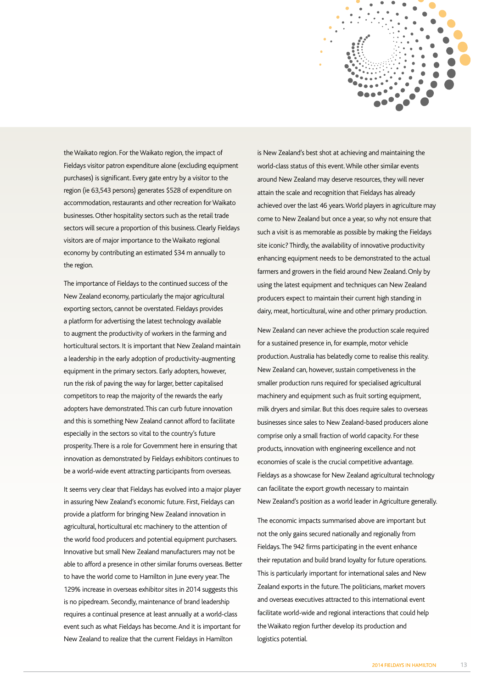

the Waikato region. For the Waikato region, the impact of Fieldays visitor patron expenditure alone (excluding equipment purchases) is significant. Every gate entry by a visitor to the region (ie 63,543 persons) generates \$528 of expenditure on accommodation, restaurants and other recreation for Waikato businesses. Other hospitality sectors such as the retail trade sectors will secure a proportion of this business. Clearly Fieldays visitors are of major importance to the Waikato regional economy by contributing an estimated \$34 m annually to the region.

The importance of Fieldays to the continued success of the New Zealand economy, particularly the major agricultural exporting sectors, cannot be overstated. Fieldays provides a platform for advertising the latest technology available to augment the productivity of workers in the farming and horticultural sectors. It is important that New Zealand maintain a leadership in the early adoption of productivity-augmenting equipment in the primary sectors. Early adopters, however, run the risk of paving the way for larger, better capitalised competitors to reap the majority of the rewards the early adopters have demonstrated. This can curb future innovation and this is something New Zealand cannot afford to facilitate especially in the sectors so vital to the country's future prosperity. There is a role for Government here in ensuring that innovation as demonstrated by Fieldays exhibitors continues to be a world-wide event attracting participants from overseas.

It seems very clear that Fieldays has evolved into a major player in assuring New Zealand's economic future. First, Fieldays can provide a platform for bringing New Zealand innovation in agricultural, horticultural etc machinery to the attention of the world food producers and potential equipment purchasers. Innovative but small New Zealand manufacturers may not be able to afford a presence in other similar forums overseas. Better to have the world come to Hamilton in June every year. The 129% increase in overseas exhibitor sites in 2014 suggests this is no pipedream. Secondly, maintenance of brand leadership requires a continual presence at least annually at a world-class event such as what Fieldays has become. And it is important for New Zealand to realize that the current Fieldays in Hamilton

is New Zealand's best shot at achieving and maintaining the world-class status of this event. While other similar events around New Zealand may deserve resources, they will never attain the scale and recognition that Fieldays has already achieved over the last 46 years. World players in agriculture may come to New Zealand but once a year, so why not ensure that such a visit is as memorable as possible by making the Fieldays site iconic? Thirdly, the availability of innovative productivity enhancing equipment needs to be demonstrated to the actual farmers and growers in the field around New Zealand. Only by using the latest equipment and techniques can New Zealand producers expect to maintain their current high standing in dairy, meat, horticultural, wine and other primary production.

New Zealand can never achieve the production scale required for a sustained presence in, for example, motor vehicle production. Australia has belatedly come to realise this reality. New Zealand can, however, sustain competiveness in the smaller production runs required for specialised agricultural machinery and equipment such as fruit sorting equipment, milk dryers and similar. But this does require sales to overseas businesses since sales to New Zealand-based producers alone comprise only a small fraction of world capacity. For these products, innovation with engineering excellence and not economies of scale is the crucial competitive advantage. Fieldays as a showcase for New Zealand agricultural technology can facilitate the export growth necessary to maintain New Zealand's position as a world leader in Agriculture generally.

The economic impacts summarised above are important but not the only gains secured nationally and regionally from Fieldays. The 942 firms participating in the event enhance their reputation and build brand loyalty for future operations. This is particularly important for international sales and New Zealand exports in the future. The politicians, market movers and overseas executives attracted to this international event facilitate world-wide and regional interactions that could help the Waikato region further develop its production and logistics potential.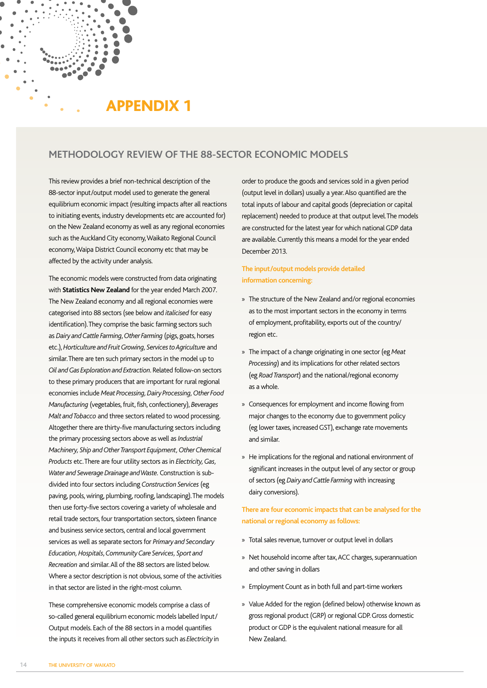# APPENDIX 1

# **METHODOLOGY REVIEW OF THE 88-SECTOR ECONOMIC MODELS**

This review provides a brief non-technical description of the 88-sector input/output model used to generate the general equilibrium economic impact (resulting impacts after all reactions to initiating events, industry developments etc are accounted for) on the New Zealand economy as well as any regional economies such as the Auckland City economy, Waikato Regional Council economy, Waipa District Council economy etc that may be affected by the activity under analysis.

The economic models were constructed from data originating with **Statistics New Zealand** for the year ended March 2007. The New Zealand economy and all regional economies were categorised into 88 sectors (see below and *italicised* for easy identification). They comprise the basic farming sectors such as *Dairy and Cattle Farming*, *Other Farming* (pigs, goats, horses etc.), *Horticulture and Fruit Growing, Services to Agriculture* and similar. There are ten such primary sectors in the model up to *Oil and Gas Exploration and Extraction*. Related follow-on sectors to these primary producers that are important for rural regional economies include *Meat Processing, Dairy Processing, Other Food Manufacturing* (vegetables, fruit, fish, confectionery), *Beverages Malt and Tobacco* and three sectors related to wood processing. Altogether there are thirty-five manufacturing sectors including the primary processing sectors above as well as *Industrial Machinery, Ship and Other Transport Equipment, Other Chemical Products* etc. There are four utility sectors as in *Electricity, Gas, Water and Sewerage Drainage and Waste.* Construction is subdivided into four sectors including *Construction Services* (eg paving, pools, wiring, plumbing, roofing, landscaping). The models then use forty-five sectors covering a variety of wholesale and retail trade sectors, four transportation sectors, sixteen finance and business service sectors, central and local government services as well as separate sectors for *Primary and Secondary Education, Hospitals*, *Community Care Services, Sport and Recreation* and similar. All of the 88 sectors are listed below. Where a sector description is not obvious, some of the activities in that sector are listed in the right-most column.

These comprehensive economic models comprise a class of so-called general equilibrium economic models labelled Input/ Output models. Each of the 88 sectors in a model quantifies the inputs it receives from all other sectors such as *Electricity* in order to produce the goods and services sold in a given period (output level in dollars) usually a year. Also quantified are the total inputs of labour and capital goods (depreciation or capital replacement) needed to produce at that output level. The models are constructed for the latest year for which national GDP data are available. Currently this means a model for the year ended December 2013.

# **The input/output models provide detailed information concerning:**

- » The structure of the New Zealand and/or regional economies as to the most important sectors in the economy in terms of employment, profitability, exports out of the country/ region etc.
- » The impact of a change originating in one sector (eg *Meat Processing*) and its implications for other related sectors (eg *Road Transport*) and the national/regional economy as a whole.
- » Consequences for employment and income flowing from major changes to the economy due to government policy (eg lower taxes, increased GST), exchange rate movements and similar.
- » He implications for the regional and national environment of significant increases in the output level of any sector or group of sectors (eg *Dairy and Cattle Farming* with increasing dairy conversions).

# **There are four economic impacts that can be analysed for the national or regional economy as follows:**

- » Total sales revenue, turnover or output level in dollars
- » Net household income after tax, ACC charges, superannuation and other saving in dollars
- » Employment Count as in both full and part-time workers
- » Value Added for the region (defined below) otherwise known as gross regional product (GRP) or regional GDP. Gross domestic product or GDP is the equivalent national measure for all New Zealand.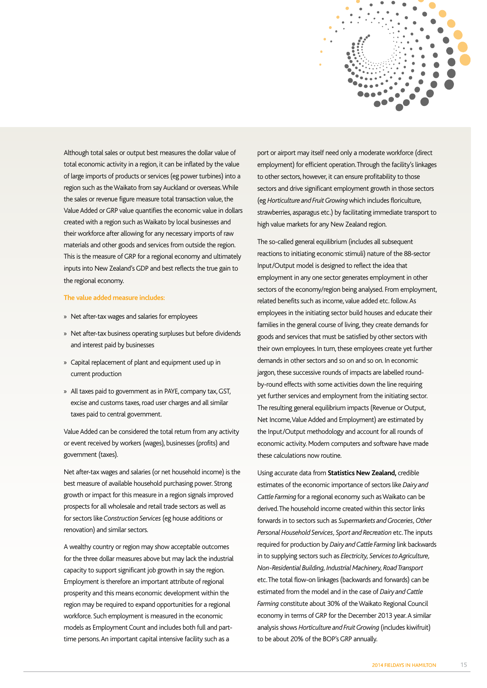

Although total sales or output best measures the dollar value of total economic activity in a region, it can be inflated by the value of large imports of products or services (eg power turbines) into a region such as the Waikato from say Auckland or overseas. While the sales or revenue figure measure total transaction value, the Value Added or GRP value quantifies the economic value in dollars created with a region such as Waikato by local businesses and their workforce after allowing for any necessary imports of raw materials and other goods and services from outside the region. This is the measure of GRP for a regional economy and ultimately inputs into New Zealand's GDP and best reflects the true gain to the regional economy.

#### **The value added measure includes:**

- » Net after-tax wages and salaries for employees
- » Net after-tax business operating surpluses but before dividends and interest paid by businesses
- » Capital replacement of plant and equipment used up in current production
- » All taxes paid to government as in PAYE, company tax, GST, excise and customs taxes, road user charges and all similar taxes paid to central government.

Value Added can be considered the total return from any activity or event received by workers (wages), businesses (profits) and government (taxes).

Net after-tax wages and salaries (or net household income) is the best measure of available household purchasing power. Strong growth or impact for this measure in a region signals improved prospects for all wholesale and retail trade sectors as well as for sectors like *Construction Services* (eg house additions or renovation) and similar sectors.

A wealthy country or region may show acceptable outcomes for the three dollar measures above but may lack the industrial capacity to support significant job growth in say the region. Employment is therefore an important attribute of regional prosperity and this means economic development within the region may be required to expand opportunities for a regional workforce. Such employment is measured in the economic models as Employment Count and includes both full and parttime persons. An important capital intensive facility such as a

port or airport may itself need only a moderate workforce (direct employment) for efficient operation. Through the facility's linkages to other sectors, however, it can ensure profitability to those sectors and drive significant employment growth in those sectors (eg *Horticulture and Fruit Growing* which includes floriculture, strawberries, asparagus etc.) by facilitating immediate transport to high value markets for any New Zealand region.

The so-called general equilibrium (includes all subsequent reactions to initiating economic stimuli) nature of the 88-sector Input/Output model is designed to reflect the idea that employment in any one sector generates employment in other sectors of the economy/region being analysed. From employment, related benefits such as income, value added etc. follow. As employees in the initiating sector build houses and educate their families in the general course of living, they create demands for goods and services that must be satisfied by other sectors with their own employees. In turn, these employees create yet further demands in other sectors and so on and so on. In economic jargon, these successive rounds of impacts are labelled roundby-round effects with some activities down the line requiring yet further services and employment from the initiating sector. The resulting general equilibrium impacts (Revenue or Output, Net Income, Value Added and Employment) are estimated by the Input/Output methodology and account for all rounds of economic activity. Modern computers and software have made these calculations now routine.

Using accurate data from **Statistics New Zealand,** credible estimates of the economic importance of sectors like *Dairy and Cattle Farming* for a regional economy such as Waikato can be derived. The household income created within this sector links forwards in to sectors such as *Supermarkets and Groceries, Other Personal Household Services, Sport and Recreation* etc. The inputs required for production by *Dairy and Cattle Farming* link backwards in to supplying sectors such as *Electricity, Services to Agriculture, Non-Residential Building, Industrial Machinery, Road Transport* etc. The total flow-on linkages (backwards and forwards) can be estimated from the model and in the case of *Dairy and Cattle Farming* constitute about 30% of the Waikato Regional Council economy in terms of GRP for the December 2013 year. A similar analysis shows *Horticulture and Fruit Growing* (includes kiwifruit) to be about 20% of the BOP's GRP annually.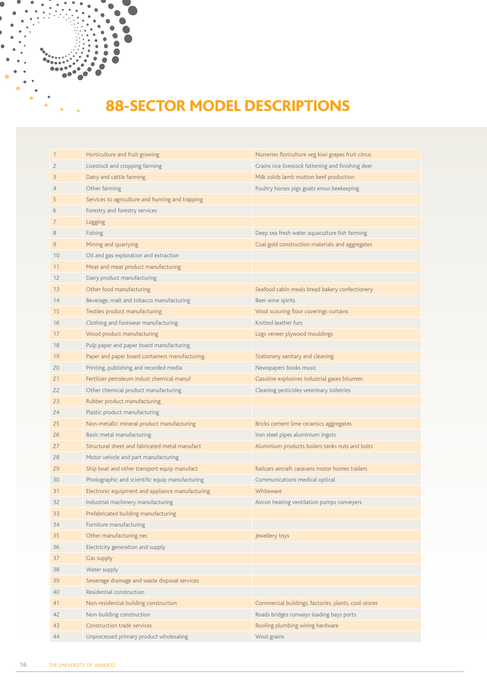# 88-SECTOR MODEL DESCRIPTIONS

| $\mathbf{1}$   | Horticulture and fruit growing                   | Nurseries floriculture veg kiwi grapes fruit citrus  |
|----------------|--------------------------------------------------|------------------------------------------------------|
| $\overline{c}$ | Livestock and cropping farming                   | Grains rice livestock fattening and finishing deer   |
| 3              | Dairy and cattle farming                         | Milk solids lamb mutton beef production              |
| 4              | Other farming                                    | Poultry horses pigs goats emus beekeeping            |
| 5              | Services to agriculture and hunting and trapping |                                                      |
| 6              | Forestry and forestry services                   |                                                      |
| 7              | Logging                                          |                                                      |
| 8              | Fishing                                          | Deep sea fresh water aquaculture fish farming        |
| $\overline{9}$ | Mining and quarrying                             | Coal gold construction materials and aggregates      |
| 10             | Oil and gas exploration and extraction           |                                                      |
| 11             | Meat and meat product manufacturing              |                                                      |
| 12             | Dairy product manufacturing                      |                                                      |
| 13             | Other food manufacturing                         | Seafood cabin meals bread bakery confectionery       |
| 14             | Beverage, malt and tobacco manufacturing         | Beer wine spirits                                    |
| 15             | Textiles product manufacturing                   | Wool scouring floor coverings curtains               |
| 16             | Clothing and footwear manufacturing              | Knitted leather furs                                 |
| 17             | Wood product manufacturing                       | Logs veneer plywood mouldings                        |
| 18             | Pulp paper and paper board manufacturing         |                                                      |
| 19             | Paper and paper board containers manufacturing   | Stationery sanitary and cleaning                     |
| 20             | Printing, publishing and recorded media          | Newspapers books music                               |
| 21             | Fertilizer petroleum indust chemical manuf       | Gasoline explosives industrial gases bitumen         |
| 22             | Other chemical product manufacturing             | Cleaning pesticides veterinary toiletries            |
| 23             | Rubber product manufacturing                     |                                                      |
| 24             | Plastic product manufacturing                    |                                                      |
| 25             | Non-metallic mineral product manufacturing       | Bricks cement lime ceramics aggregates               |
| 26             | Basic metal manufacturing                        | Iron steel pipes aluminium ingots                    |
| 27             | Structural sheet and fabricated metal manufact   | Aluminium products boilers tanks nuts and bolts      |
| 28             | Motor vehicle and part manufacturing             |                                                      |
| 29             | Ship boat and other transport equip manufact     | Railcars aircraft caravans motor homes trailers      |
| 30             | Photographic and scientific equip manufacturing  | Communications medical optical                       |
| 31             | Electronic equipment and appliance manufacturing | Whiteware                                            |
| 32             | Industrial machinery manufacturing               | Aircon heating ventilation pumps conveyers           |
| 33             | Prefabricated building manufacturing             |                                                      |
| 34             | Furniture manufacturing                          |                                                      |
| 35             | Other manufacturing nec                          | Jewellery toys                                       |
| 36             | Electricity generation and supply                |                                                      |
| 37             | Gas supply                                       |                                                      |
| 38             | Water supply                                     |                                                      |
| 39             | Sewerage drainage and waste disposal services    |                                                      |
| 40             | Residential construction                         |                                                      |
| 41             | Non-residential building construction            | Commercial buildings, factories, plants, cool-stores |
| 42             | Non-building construction                        | Roads bridges runways loading bays ports             |
| 43             | <b>Construction trade services</b>               | Roofing plumbing wiring hardware                     |
| 44             | Unprocessed primary product wholesaling          | Wool grains                                          |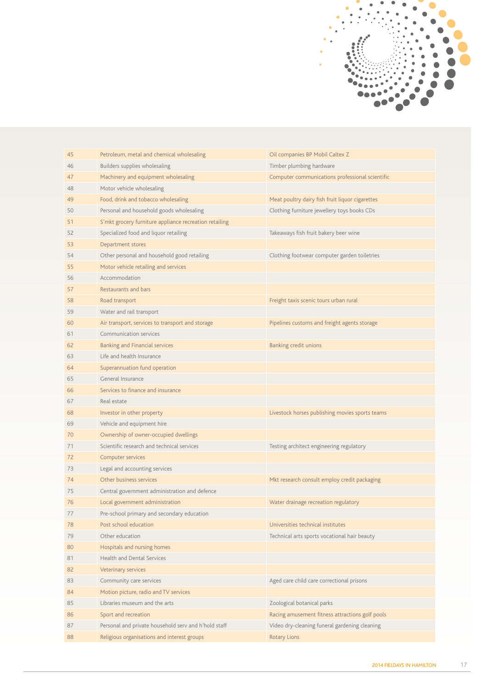

| Petroleum, metal and chemical wholesaling<br>Oil companies BP Mobil Caltex Z<br>45<br>Builders supplies wholesaling<br>Timber plumbing hardware<br>46<br>Machinery and equipment wholesaling<br>Computer communications professional scientific<br>47<br>Motor vehicle wholesaling<br>48<br>Food, drink and tobacco wholesaling<br>Meat poultry dairy fish fruit liquor cigarettes<br>49<br>Personal and household goods wholesaling<br>Clothing furniture jewellery toys books CDs<br>50<br>S'mkt grocery furniture appliance recreation retailing<br>51<br>Specialized food and liquor retailing<br>Takeaways fish fruit bakery beer wine<br>52<br>Department stores<br>53<br>Other personal and household good retailing<br>Clothing footwear computer garden toiletries<br>54<br>Motor vehicle retailing and services<br>55<br>Accommodation<br>56<br>Restaurants and bars<br>57<br>Freight taxis scenic tours urban rural<br>Road transport<br>58<br>Water and rail transport<br>59<br>Air transport, services to transport and storage<br>Pipelines customs and freight agents storage<br>60<br>Communication services<br>61<br><b>Banking and Financial services</b><br>Banking credit unions<br>62<br>Life and health Insurance<br>63<br>Superannuation fund operation<br>64<br>General Insurance<br>65<br>Services to finance and insurance<br>66<br>Real estate<br>67<br>Livestock horses publishing movies sports teams<br>Investor in other property<br>68<br>Vehicle and equipment hire<br>69<br>Ownership of owner-occupied dwellings<br>70<br>Scientific research and technical services<br>71<br>Testing architect engineering regulatory<br>Computer services<br>72<br>Legal and accounting services<br>73<br>Other business services<br>Mkt research consult employ credit packaging<br>74<br>Central government administration and defence<br>75<br>Local government administration<br>Water drainage recreation regulatory<br>76<br>77<br>Pre-school primary and secondary education<br>Universities technical institutes<br>Post school education<br>78<br>Other education<br>Technical arts sports vocational hair beauty<br>79<br>Hospitals and nursing homes<br>80<br><b>Health and Dental Services</b><br>81<br>Veterinary services<br>82<br>Community care services<br>Aged care child care correctional prisons<br>83<br>Motion picture, radio and TV services<br>84<br>Libraries museum and the arts<br>Zoological botanical parks<br>85<br>Sport and recreation<br>Racing amusement fitness attractions golf pools<br>86<br>Personal and private household serv and h'hold staff<br>Video dry-cleaning funeral gardening cleaning<br>87 |    |                                             |                     |
|----------------------------------------------------------------------------------------------------------------------------------------------------------------------------------------------------------------------------------------------------------------------------------------------------------------------------------------------------------------------------------------------------------------------------------------------------------------------------------------------------------------------------------------------------------------------------------------------------------------------------------------------------------------------------------------------------------------------------------------------------------------------------------------------------------------------------------------------------------------------------------------------------------------------------------------------------------------------------------------------------------------------------------------------------------------------------------------------------------------------------------------------------------------------------------------------------------------------------------------------------------------------------------------------------------------------------------------------------------------------------------------------------------------------------------------------------------------------------------------------------------------------------------------------------------------------------------------------------------------------------------------------------------------------------------------------------------------------------------------------------------------------------------------------------------------------------------------------------------------------------------------------------------------------------------------------------------------------------------------------------------------------------------------------------------------------------------------------------------------------------------------------------------------------------------------------------------------------------------------------------------------------------------------------------------------------------------------------------------------------------------------------------------------------------------------------------------------------------------------------------------------------------------------------------------------------------------------------------------------------------------------------------------------------|----|---------------------------------------------|---------------------|
|                                                                                                                                                                                                                                                                                                                                                                                                                                                                                                                                                                                                                                                                                                                                                                                                                                                                                                                                                                                                                                                                                                                                                                                                                                                                                                                                                                                                                                                                                                                                                                                                                                                                                                                                                                                                                                                                                                                                                                                                                                                                                                                                                                                                                                                                                                                                                                                                                                                                                                                                                                                                                                                                      |    |                                             |                     |
|                                                                                                                                                                                                                                                                                                                                                                                                                                                                                                                                                                                                                                                                                                                                                                                                                                                                                                                                                                                                                                                                                                                                                                                                                                                                                                                                                                                                                                                                                                                                                                                                                                                                                                                                                                                                                                                                                                                                                                                                                                                                                                                                                                                                                                                                                                                                                                                                                                                                                                                                                                                                                                                                      |    |                                             |                     |
|                                                                                                                                                                                                                                                                                                                                                                                                                                                                                                                                                                                                                                                                                                                                                                                                                                                                                                                                                                                                                                                                                                                                                                                                                                                                                                                                                                                                                                                                                                                                                                                                                                                                                                                                                                                                                                                                                                                                                                                                                                                                                                                                                                                                                                                                                                                                                                                                                                                                                                                                                                                                                                                                      |    |                                             |                     |
|                                                                                                                                                                                                                                                                                                                                                                                                                                                                                                                                                                                                                                                                                                                                                                                                                                                                                                                                                                                                                                                                                                                                                                                                                                                                                                                                                                                                                                                                                                                                                                                                                                                                                                                                                                                                                                                                                                                                                                                                                                                                                                                                                                                                                                                                                                                                                                                                                                                                                                                                                                                                                                                                      |    |                                             |                     |
|                                                                                                                                                                                                                                                                                                                                                                                                                                                                                                                                                                                                                                                                                                                                                                                                                                                                                                                                                                                                                                                                                                                                                                                                                                                                                                                                                                                                                                                                                                                                                                                                                                                                                                                                                                                                                                                                                                                                                                                                                                                                                                                                                                                                                                                                                                                                                                                                                                                                                                                                                                                                                                                                      |    |                                             |                     |
|                                                                                                                                                                                                                                                                                                                                                                                                                                                                                                                                                                                                                                                                                                                                                                                                                                                                                                                                                                                                                                                                                                                                                                                                                                                                                                                                                                                                                                                                                                                                                                                                                                                                                                                                                                                                                                                                                                                                                                                                                                                                                                                                                                                                                                                                                                                                                                                                                                                                                                                                                                                                                                                                      |    |                                             |                     |
|                                                                                                                                                                                                                                                                                                                                                                                                                                                                                                                                                                                                                                                                                                                                                                                                                                                                                                                                                                                                                                                                                                                                                                                                                                                                                                                                                                                                                                                                                                                                                                                                                                                                                                                                                                                                                                                                                                                                                                                                                                                                                                                                                                                                                                                                                                                                                                                                                                                                                                                                                                                                                                                                      |    |                                             |                     |
|                                                                                                                                                                                                                                                                                                                                                                                                                                                                                                                                                                                                                                                                                                                                                                                                                                                                                                                                                                                                                                                                                                                                                                                                                                                                                                                                                                                                                                                                                                                                                                                                                                                                                                                                                                                                                                                                                                                                                                                                                                                                                                                                                                                                                                                                                                                                                                                                                                                                                                                                                                                                                                                                      |    |                                             |                     |
|                                                                                                                                                                                                                                                                                                                                                                                                                                                                                                                                                                                                                                                                                                                                                                                                                                                                                                                                                                                                                                                                                                                                                                                                                                                                                                                                                                                                                                                                                                                                                                                                                                                                                                                                                                                                                                                                                                                                                                                                                                                                                                                                                                                                                                                                                                                                                                                                                                                                                                                                                                                                                                                                      |    |                                             |                     |
|                                                                                                                                                                                                                                                                                                                                                                                                                                                                                                                                                                                                                                                                                                                                                                                                                                                                                                                                                                                                                                                                                                                                                                                                                                                                                                                                                                                                                                                                                                                                                                                                                                                                                                                                                                                                                                                                                                                                                                                                                                                                                                                                                                                                                                                                                                                                                                                                                                                                                                                                                                                                                                                                      |    |                                             |                     |
|                                                                                                                                                                                                                                                                                                                                                                                                                                                                                                                                                                                                                                                                                                                                                                                                                                                                                                                                                                                                                                                                                                                                                                                                                                                                                                                                                                                                                                                                                                                                                                                                                                                                                                                                                                                                                                                                                                                                                                                                                                                                                                                                                                                                                                                                                                                                                                                                                                                                                                                                                                                                                                                                      |    |                                             |                     |
|                                                                                                                                                                                                                                                                                                                                                                                                                                                                                                                                                                                                                                                                                                                                                                                                                                                                                                                                                                                                                                                                                                                                                                                                                                                                                                                                                                                                                                                                                                                                                                                                                                                                                                                                                                                                                                                                                                                                                                                                                                                                                                                                                                                                                                                                                                                                                                                                                                                                                                                                                                                                                                                                      |    |                                             |                     |
|                                                                                                                                                                                                                                                                                                                                                                                                                                                                                                                                                                                                                                                                                                                                                                                                                                                                                                                                                                                                                                                                                                                                                                                                                                                                                                                                                                                                                                                                                                                                                                                                                                                                                                                                                                                                                                                                                                                                                                                                                                                                                                                                                                                                                                                                                                                                                                                                                                                                                                                                                                                                                                                                      |    |                                             |                     |
|                                                                                                                                                                                                                                                                                                                                                                                                                                                                                                                                                                                                                                                                                                                                                                                                                                                                                                                                                                                                                                                                                                                                                                                                                                                                                                                                                                                                                                                                                                                                                                                                                                                                                                                                                                                                                                                                                                                                                                                                                                                                                                                                                                                                                                                                                                                                                                                                                                                                                                                                                                                                                                                                      |    |                                             |                     |
|                                                                                                                                                                                                                                                                                                                                                                                                                                                                                                                                                                                                                                                                                                                                                                                                                                                                                                                                                                                                                                                                                                                                                                                                                                                                                                                                                                                                                                                                                                                                                                                                                                                                                                                                                                                                                                                                                                                                                                                                                                                                                                                                                                                                                                                                                                                                                                                                                                                                                                                                                                                                                                                                      |    |                                             |                     |
|                                                                                                                                                                                                                                                                                                                                                                                                                                                                                                                                                                                                                                                                                                                                                                                                                                                                                                                                                                                                                                                                                                                                                                                                                                                                                                                                                                                                                                                                                                                                                                                                                                                                                                                                                                                                                                                                                                                                                                                                                                                                                                                                                                                                                                                                                                                                                                                                                                                                                                                                                                                                                                                                      |    |                                             |                     |
|                                                                                                                                                                                                                                                                                                                                                                                                                                                                                                                                                                                                                                                                                                                                                                                                                                                                                                                                                                                                                                                                                                                                                                                                                                                                                                                                                                                                                                                                                                                                                                                                                                                                                                                                                                                                                                                                                                                                                                                                                                                                                                                                                                                                                                                                                                                                                                                                                                                                                                                                                                                                                                                                      |    |                                             |                     |
|                                                                                                                                                                                                                                                                                                                                                                                                                                                                                                                                                                                                                                                                                                                                                                                                                                                                                                                                                                                                                                                                                                                                                                                                                                                                                                                                                                                                                                                                                                                                                                                                                                                                                                                                                                                                                                                                                                                                                                                                                                                                                                                                                                                                                                                                                                                                                                                                                                                                                                                                                                                                                                                                      |    |                                             |                     |
|                                                                                                                                                                                                                                                                                                                                                                                                                                                                                                                                                                                                                                                                                                                                                                                                                                                                                                                                                                                                                                                                                                                                                                                                                                                                                                                                                                                                                                                                                                                                                                                                                                                                                                                                                                                                                                                                                                                                                                                                                                                                                                                                                                                                                                                                                                                                                                                                                                                                                                                                                                                                                                                                      |    |                                             |                     |
|                                                                                                                                                                                                                                                                                                                                                                                                                                                                                                                                                                                                                                                                                                                                                                                                                                                                                                                                                                                                                                                                                                                                                                                                                                                                                                                                                                                                                                                                                                                                                                                                                                                                                                                                                                                                                                                                                                                                                                                                                                                                                                                                                                                                                                                                                                                                                                                                                                                                                                                                                                                                                                                                      |    |                                             |                     |
|                                                                                                                                                                                                                                                                                                                                                                                                                                                                                                                                                                                                                                                                                                                                                                                                                                                                                                                                                                                                                                                                                                                                                                                                                                                                                                                                                                                                                                                                                                                                                                                                                                                                                                                                                                                                                                                                                                                                                                                                                                                                                                                                                                                                                                                                                                                                                                                                                                                                                                                                                                                                                                                                      |    |                                             |                     |
|                                                                                                                                                                                                                                                                                                                                                                                                                                                                                                                                                                                                                                                                                                                                                                                                                                                                                                                                                                                                                                                                                                                                                                                                                                                                                                                                                                                                                                                                                                                                                                                                                                                                                                                                                                                                                                                                                                                                                                                                                                                                                                                                                                                                                                                                                                                                                                                                                                                                                                                                                                                                                                                                      |    |                                             |                     |
|                                                                                                                                                                                                                                                                                                                                                                                                                                                                                                                                                                                                                                                                                                                                                                                                                                                                                                                                                                                                                                                                                                                                                                                                                                                                                                                                                                                                                                                                                                                                                                                                                                                                                                                                                                                                                                                                                                                                                                                                                                                                                                                                                                                                                                                                                                                                                                                                                                                                                                                                                                                                                                                                      |    |                                             |                     |
|                                                                                                                                                                                                                                                                                                                                                                                                                                                                                                                                                                                                                                                                                                                                                                                                                                                                                                                                                                                                                                                                                                                                                                                                                                                                                                                                                                                                                                                                                                                                                                                                                                                                                                                                                                                                                                                                                                                                                                                                                                                                                                                                                                                                                                                                                                                                                                                                                                                                                                                                                                                                                                                                      |    |                                             |                     |
|                                                                                                                                                                                                                                                                                                                                                                                                                                                                                                                                                                                                                                                                                                                                                                                                                                                                                                                                                                                                                                                                                                                                                                                                                                                                                                                                                                                                                                                                                                                                                                                                                                                                                                                                                                                                                                                                                                                                                                                                                                                                                                                                                                                                                                                                                                                                                                                                                                                                                                                                                                                                                                                                      |    |                                             |                     |
|                                                                                                                                                                                                                                                                                                                                                                                                                                                                                                                                                                                                                                                                                                                                                                                                                                                                                                                                                                                                                                                                                                                                                                                                                                                                                                                                                                                                                                                                                                                                                                                                                                                                                                                                                                                                                                                                                                                                                                                                                                                                                                                                                                                                                                                                                                                                                                                                                                                                                                                                                                                                                                                                      |    |                                             |                     |
|                                                                                                                                                                                                                                                                                                                                                                                                                                                                                                                                                                                                                                                                                                                                                                                                                                                                                                                                                                                                                                                                                                                                                                                                                                                                                                                                                                                                                                                                                                                                                                                                                                                                                                                                                                                                                                                                                                                                                                                                                                                                                                                                                                                                                                                                                                                                                                                                                                                                                                                                                                                                                                                                      |    |                                             |                     |
|                                                                                                                                                                                                                                                                                                                                                                                                                                                                                                                                                                                                                                                                                                                                                                                                                                                                                                                                                                                                                                                                                                                                                                                                                                                                                                                                                                                                                                                                                                                                                                                                                                                                                                                                                                                                                                                                                                                                                                                                                                                                                                                                                                                                                                                                                                                                                                                                                                                                                                                                                                                                                                                                      |    |                                             |                     |
|                                                                                                                                                                                                                                                                                                                                                                                                                                                                                                                                                                                                                                                                                                                                                                                                                                                                                                                                                                                                                                                                                                                                                                                                                                                                                                                                                                                                                                                                                                                                                                                                                                                                                                                                                                                                                                                                                                                                                                                                                                                                                                                                                                                                                                                                                                                                                                                                                                                                                                                                                                                                                                                                      |    |                                             |                     |
|                                                                                                                                                                                                                                                                                                                                                                                                                                                                                                                                                                                                                                                                                                                                                                                                                                                                                                                                                                                                                                                                                                                                                                                                                                                                                                                                                                                                                                                                                                                                                                                                                                                                                                                                                                                                                                                                                                                                                                                                                                                                                                                                                                                                                                                                                                                                                                                                                                                                                                                                                                                                                                                                      |    |                                             |                     |
|                                                                                                                                                                                                                                                                                                                                                                                                                                                                                                                                                                                                                                                                                                                                                                                                                                                                                                                                                                                                                                                                                                                                                                                                                                                                                                                                                                                                                                                                                                                                                                                                                                                                                                                                                                                                                                                                                                                                                                                                                                                                                                                                                                                                                                                                                                                                                                                                                                                                                                                                                                                                                                                                      |    |                                             |                     |
|                                                                                                                                                                                                                                                                                                                                                                                                                                                                                                                                                                                                                                                                                                                                                                                                                                                                                                                                                                                                                                                                                                                                                                                                                                                                                                                                                                                                                                                                                                                                                                                                                                                                                                                                                                                                                                                                                                                                                                                                                                                                                                                                                                                                                                                                                                                                                                                                                                                                                                                                                                                                                                                                      |    |                                             |                     |
|                                                                                                                                                                                                                                                                                                                                                                                                                                                                                                                                                                                                                                                                                                                                                                                                                                                                                                                                                                                                                                                                                                                                                                                                                                                                                                                                                                                                                                                                                                                                                                                                                                                                                                                                                                                                                                                                                                                                                                                                                                                                                                                                                                                                                                                                                                                                                                                                                                                                                                                                                                                                                                                                      |    |                                             |                     |
|                                                                                                                                                                                                                                                                                                                                                                                                                                                                                                                                                                                                                                                                                                                                                                                                                                                                                                                                                                                                                                                                                                                                                                                                                                                                                                                                                                                                                                                                                                                                                                                                                                                                                                                                                                                                                                                                                                                                                                                                                                                                                                                                                                                                                                                                                                                                                                                                                                                                                                                                                                                                                                                                      |    |                                             |                     |
|                                                                                                                                                                                                                                                                                                                                                                                                                                                                                                                                                                                                                                                                                                                                                                                                                                                                                                                                                                                                                                                                                                                                                                                                                                                                                                                                                                                                                                                                                                                                                                                                                                                                                                                                                                                                                                                                                                                                                                                                                                                                                                                                                                                                                                                                                                                                                                                                                                                                                                                                                                                                                                                                      |    |                                             |                     |
|                                                                                                                                                                                                                                                                                                                                                                                                                                                                                                                                                                                                                                                                                                                                                                                                                                                                                                                                                                                                                                                                                                                                                                                                                                                                                                                                                                                                                                                                                                                                                                                                                                                                                                                                                                                                                                                                                                                                                                                                                                                                                                                                                                                                                                                                                                                                                                                                                                                                                                                                                                                                                                                                      |    |                                             |                     |
|                                                                                                                                                                                                                                                                                                                                                                                                                                                                                                                                                                                                                                                                                                                                                                                                                                                                                                                                                                                                                                                                                                                                                                                                                                                                                                                                                                                                                                                                                                                                                                                                                                                                                                                                                                                                                                                                                                                                                                                                                                                                                                                                                                                                                                                                                                                                                                                                                                                                                                                                                                                                                                                                      |    |                                             |                     |
|                                                                                                                                                                                                                                                                                                                                                                                                                                                                                                                                                                                                                                                                                                                                                                                                                                                                                                                                                                                                                                                                                                                                                                                                                                                                                                                                                                                                                                                                                                                                                                                                                                                                                                                                                                                                                                                                                                                                                                                                                                                                                                                                                                                                                                                                                                                                                                                                                                                                                                                                                                                                                                                                      |    |                                             |                     |
|                                                                                                                                                                                                                                                                                                                                                                                                                                                                                                                                                                                                                                                                                                                                                                                                                                                                                                                                                                                                                                                                                                                                                                                                                                                                                                                                                                                                                                                                                                                                                                                                                                                                                                                                                                                                                                                                                                                                                                                                                                                                                                                                                                                                                                                                                                                                                                                                                                                                                                                                                                                                                                                                      |    |                                             |                     |
|                                                                                                                                                                                                                                                                                                                                                                                                                                                                                                                                                                                                                                                                                                                                                                                                                                                                                                                                                                                                                                                                                                                                                                                                                                                                                                                                                                                                                                                                                                                                                                                                                                                                                                                                                                                                                                                                                                                                                                                                                                                                                                                                                                                                                                                                                                                                                                                                                                                                                                                                                                                                                                                                      |    |                                             |                     |
|                                                                                                                                                                                                                                                                                                                                                                                                                                                                                                                                                                                                                                                                                                                                                                                                                                                                                                                                                                                                                                                                                                                                                                                                                                                                                                                                                                                                                                                                                                                                                                                                                                                                                                                                                                                                                                                                                                                                                                                                                                                                                                                                                                                                                                                                                                                                                                                                                                                                                                                                                                                                                                                                      |    |                                             |                     |
|                                                                                                                                                                                                                                                                                                                                                                                                                                                                                                                                                                                                                                                                                                                                                                                                                                                                                                                                                                                                                                                                                                                                                                                                                                                                                                                                                                                                                                                                                                                                                                                                                                                                                                                                                                                                                                                                                                                                                                                                                                                                                                                                                                                                                                                                                                                                                                                                                                                                                                                                                                                                                                                                      |    |                                             |                     |
|                                                                                                                                                                                                                                                                                                                                                                                                                                                                                                                                                                                                                                                                                                                                                                                                                                                                                                                                                                                                                                                                                                                                                                                                                                                                                                                                                                                                                                                                                                                                                                                                                                                                                                                                                                                                                                                                                                                                                                                                                                                                                                                                                                                                                                                                                                                                                                                                                                                                                                                                                                                                                                                                      |    |                                             |                     |
|                                                                                                                                                                                                                                                                                                                                                                                                                                                                                                                                                                                                                                                                                                                                                                                                                                                                                                                                                                                                                                                                                                                                                                                                                                                                                                                                                                                                                                                                                                                                                                                                                                                                                                                                                                                                                                                                                                                                                                                                                                                                                                                                                                                                                                                                                                                                                                                                                                                                                                                                                                                                                                                                      | 88 | Religious organisations and interest groups | <b>Rotary Lions</b> |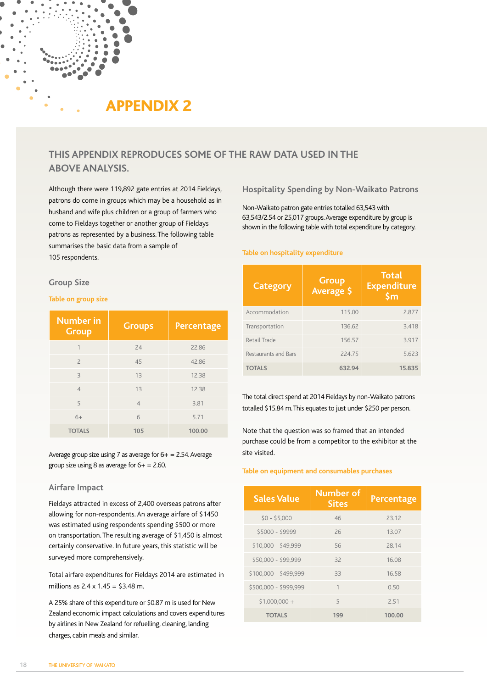# APPENDIX 2

# **THIS APPENDIX REPRODUCES SOME OF THE RAW DATA USED IN THE ABOVE ANALYSIS.**

Although there were 119,892 gate entries at 2014 Fieldays, patrons do come in groups which may be a household as in husband and wife plus children or a group of farmers who come to Fieldays together or another group of Fieldays patrons as represented by a business. The following table summarises the basic data from a sample of 105 respondents.

### **Group Size**

### **Table on group size**

| <b>Number</b> in<br><b>Group</b> | <b>Groups</b>  | Percentage |
|----------------------------------|----------------|------------|
| 1                                | 24             | 22.86      |
| $\overline{\phantom{0}}$         | 45             | 42.86      |
| 3                                | 13             | 12.38      |
| $\overline{4}$                   | 13             | 12.38      |
| 5                                | $\overline{4}$ | 3.81       |
| $6+$                             | 6              | 5.71       |
| <b>TOTALS</b>                    | 105            | 100.00     |

Average group size using 7 as average for  $6+ = 2.54$ . Average group size using 8 as average for  $6+ = 2.60$ .

### **Airfare Impact**

Fieldays attracted in excess of 2,400 overseas patrons after allowing for non-respondents. An average airfare of \$1450 was estimated using respondents spending \$500 or more on transportation. The resulting average of \$1,450 is almost certainly conservative. In future years, this statistic will be surveyed more comprehensively.

Total airfare expenditures for Fieldays 2014 are estimated in millions as 2.4 x 1.45 = \$3.48 m.

A 25% share of this expenditure or \$0.87 m is used for New Zealand economic impact calculations and covers expenditures by airlines in New Zealand for refuelling, cleaning, landing charges, cabin meals and similar.

**Hospitality Spending by Non-Waikato Patrons**

Non-Waikato patron gate entries totalled 63,543 with 63,543/2.54 or 25,017 groups. Average expenditure by group is shown in the following table with total expenditure by category.

#### **Table on hospitality expenditure**

| <b>Category</b>      | Group<br>Average \$ | <b>Total</b><br><b>Expenditure</b><br>$\mathsf{Sm}$ |
|----------------------|---------------------|-----------------------------------------------------|
| Accommodation        | 115.00              | 2.877                                               |
| Transportation       | 136.62              | 3.418                                               |
| Retail Trade         | 156.57              | 3.917                                               |
| Restaurants and Bars | 224.75              | 5.623                                               |
| <b>TOTALS</b>        | 632.94              | 15.835                                              |

The total direct spend at 2014 Fieldays by non-Waikato patrons totalled \$15.84 m. This equates to just under \$250 per person.

Note that the question was so framed that an intended purchase could be from a competitor to the exhibitor at the site visited.

### **Table on equipment and consumables purchases**

| <b>Sales Value</b>    | <b>Number of</b><br><b>Sites</b> | Percentage |
|-----------------------|----------------------------------|------------|
| $$0 - $5.000$         | 46                               | 23.12      |
| \$5000 - \$9999       | 26                               | 13.07      |
| \$10,000 - \$49,999   | 56                               | 28.14      |
| \$50,000 - \$99,999   | 32                               | 16.08      |
| $$100,000 - $499,999$ | 33                               | 16.58      |
| \$500,000 - \$999,999 | $\mathbf{1}$                     | 0.50       |
| $$1,000,000 +$        | 5                                | 2.51       |
| <b>TOTALS</b>         | 199                              | 100.00     |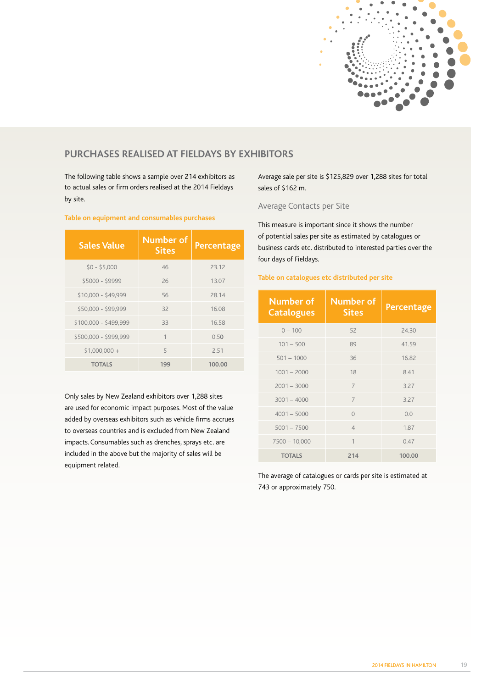

# **PURCHASES REALISED AT FIELDAYS BY EXHIBITORS**

The following table shows a sample over 214 exhibitors as to actual sales or firm orders realised at the 2014 Fieldays by site.

| <b>Sales Value</b>    | <b>Number of</b><br><b>Sites</b> | <b>Percentage</b> |
|-----------------------|----------------------------------|-------------------|
| $$0 - $5.000$         | 46                               | 23.12             |
| \$5000 - \$9999       | 26                               | 13.07             |
| $$10,000 - $49,999$   | 56                               | 28.14             |
| \$50,000 - \$99,999   | 32                               | 16.08             |
| $$100,000 - $499,999$ | 33                               | 16.58             |
| \$500,000 - \$999,999 | 1                                | 0.50              |
| $$1,000,000 +$        | 5                                | 2.51              |
| <b>TOTALS</b>         | 199                              | 100.00            |

### **Table on equipment and consumables purchases**

Only sales by New Zealand exhibitors over 1,288 sites are used for economic impact purposes. Most of the value added by overseas exhibitors such as vehicle firms accrues to overseas countries and is excluded from New Zealand impacts. Consumables such as drenches, sprays etc. are included in the above but the majority of sales will be equipment related.

Average sale per site is \$125,829 over 1,288 sites for total sales of \$162 m.

## Average Contacts per Site

This measure is important since it shows the number of potential sales per site as estimated by catalogues or business cards etc. distributed to interested parties over the four days of Fieldays.

## **Table on catalogues etc distributed per site**

| <b>Number of</b><br><b>Catalogues</b> | <b>Number of</b><br><b>Sites</b> | <b>Percentage</b> |
|---------------------------------------|----------------------------------|-------------------|
| $0 - 100$                             | 52                               | 24.30             |
| $101 - 500$                           | 89                               | 41.59             |
| $501 - 1000$                          | 36                               | 16.82             |
| $1001 - 2000$                         | 18                               | 8.41              |
| $2001 - 3000$                         | $\overline{7}$                   | 3.27              |
| $3001 - 4000$                         | $\overline{7}$                   | 3.27              |
| $4001 - 5000$                         | $\Omega$                         | 0.0               |
| $5001 - 7500$                         | $\overline{4}$                   | 1.87              |
| $7500 - 10,000$                       | 1                                | 0.47              |
| <b>TOTALS</b>                         | 214                              | 100.00            |

The average of catalogues or cards per site is estimated at 743 or approximately 750.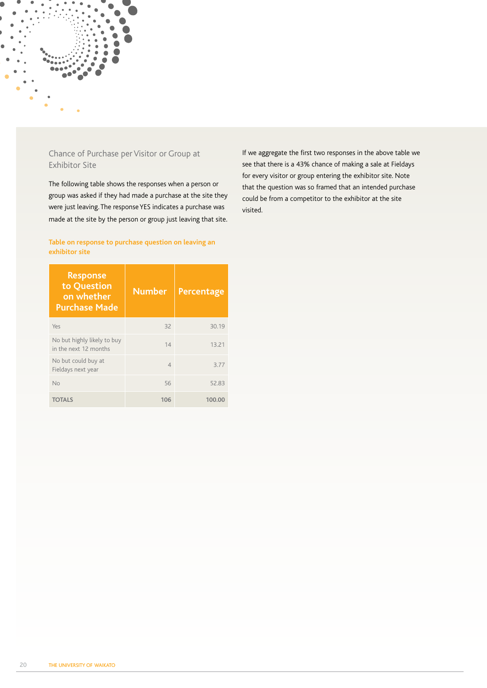

# Chance of Purchase per Visitor or Group at Exhibitor Site

The following table shows the responses when a person or group was asked if they had made a purchase at the site they were just leaving. The response YES indicates a purchase was made at the site by the person or group just leaving that site.

**Table on response to purchase question on leaving an exhibitor site**

If we aggregate the first two responses in the above table we see that there is a 43% chance of making a sale at Fieldays for every visitor or group entering the exhibitor site. Note that the question was so framed that an intended purchase could be from a competitor to the exhibitor at the site visited.

| <b>Response</b><br>to Question<br>on whether<br><b>Purchase Made</b> | <b>Number</b> | Percentage |
|----------------------------------------------------------------------|---------------|------------|
| Yes                                                                  | 32            | 30.19      |
| No but highly likely to buy<br>in the next 12 months                 | 14            | 13.21      |
| No but could buy at<br>Fieldays next year                            | 4             | 3.77       |
| <b>No</b>                                                            | 56            | 52.83      |
| TOTALS                                                               | 106           | 100.00     |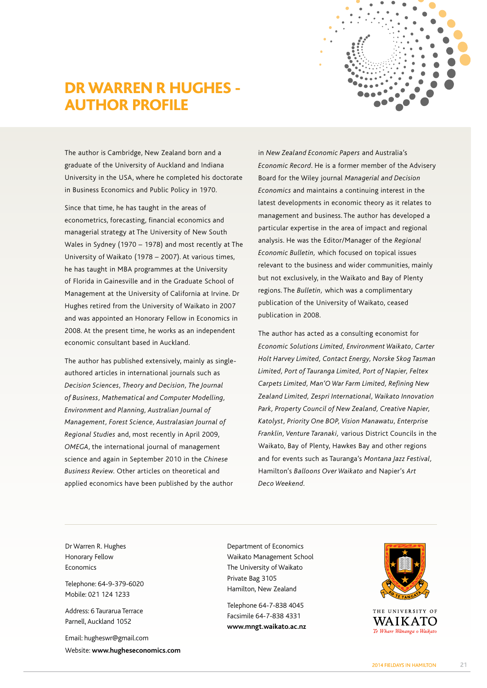# DR WARREN R HUGHES - AUTHOR PROFILE



The author is Cambridge, New Zealand born and a graduate of the University of Auckland and Indiana University in the USA, where he completed his doctorate in Business Economics and Public Policy in 1970.

Since that time, he has taught in the areas of econometrics, forecasting, financial economics and managerial strategy at The University of New South Wales in Sydney (1970 – 1978) and most recently at The University of Waikato (1978 – 2007). At various times, he has taught in MBA programmes at the University of Florida in Gainesville and in the Graduate School of Management at the University of California at Irvine. Dr Hughes retired from the University of Waikato in 2007 and was appointed an Honorary Fellow in Economics in 2008. At the present time, he works as an independent economic consultant based in Auckland.

The author has published extensively, mainly as singleauthored articles in international journals such as *Decision Sciences, Theory and Decision, The Journal of Business, Mathematical and Computer Modelling, Environment and Planning, Australian Journal of Management, Forest Science, Australasian Journal of Regional Studies* and, most recently in April 2009, *OMEGA*, the international journal of management science and again in September 2010 in the *Chinese Business Review.* Other articles on theoretical and applied economics have been published by the author

in *New Zealand Economic Papers* and Australia's *Economic Record*. He is a former member of the Advisery Board for the Wiley journal *Managerial and Decision Economics* and maintains a continuing interest in the latest developments in economic theory as it relates to management and business. The author has developed a particular expertise in the area of impact and regional analysis. He was the Editor/Manager of the *Regional Economic Bulletin,* which focused on topical issues relevant to the business and wider communities, mainly but not exclusively, in the Waikato and Bay of Plenty regions. The *Bulletin,* which was a complimentary publication of the University of Waikato, ceased publication in 2008.

The author has acted as a consulting economist for *Economic Solutions Limited, Environment Waikato, Carter Holt Harvey Limited, Contact Energy, Norske Skog Tasman Limited, Port of Tauranga Limited, Port of Napier, Feltex Carpets Limited, Man'O War Farm Limited, Refining New Zealand Limited, Zespri International, Waikato Innovation Park, Property Council of New Zealand, Creative Napier, Katolyst, Priority One BOP, Vision Manawatu, Enterprise Franklin, Venture Taranaki,* various District Councils in the Waikato, Bay of Plenty, Hawkes Bay and other regions and for events such as Tauranga's *Montana Jazz Festival,* Hamilton's *Balloons Over Waikato* and Napier's *Art Deco Weekend.*

Dr Warren R. Hughes Honorary Fellow Economics

Telephone: 64-9-379-6020 Mobile: 021 124 1233

Address: 6 Taurarua Terrace Parnell, Auckland 1052

Email: hugheswr@gmail.com Website: **www.hugheseconomics.com** Department of Economics Waikato Management School The University of Waikato Private Bag 3105 Hamilton, New Zealand

Telephone 64-7-838 4045 Facsimile 64-7-838 4331 **www.mngt.waikato.ac.nz**



THE UNIVERSITY OF **WAIK ATO** Te Whare Wānanga o Waikato